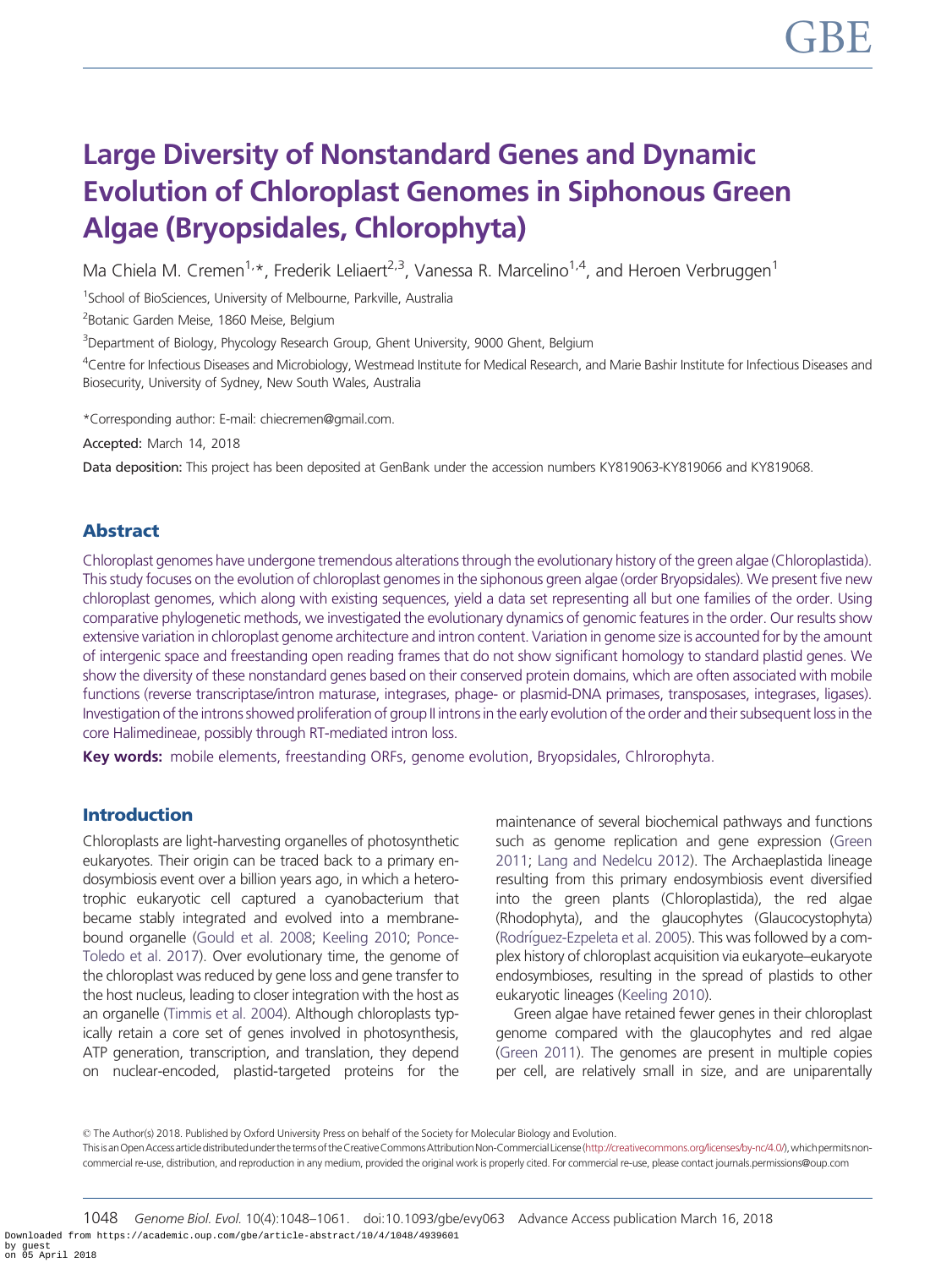# Large Diversity of Nonstandard Genes and Dynamic Evolution of Chloroplast Genomes in Siphonous Green Algae (Bryopsidales, Chlorophyta)

Ma Chiela M. Cremen<sup>1,\*</sup>, Frederik Leliaert<sup>2,3</sup>, Vanessa R. Marcelino<sup>1,4</sup>, and Heroen Verbruggen<sup>1</sup>

<sup>1</sup>School of BioSciences, University of Melbourne, Parkville, Australia

<sup>2</sup> Botanic Garden Meise, 1860 Meise, Belgium

<sup>3</sup>Department of Biology, Phycology Research Group, Ghent University, 9000 Ghent, Belgium

 $^4$ Centre for Infectious Diseases and Microbiology, Westmead Institute for Medical Research, and Marie Bashir Institute for Infectious Diseases and Biosecurity, University of Sydney, New South Wales, Australia

\*Corresponding author: E-mail: chiecremen@gmail.com.

Accepted: March 14, 2018

Data deposition: This project has been deposited at GenBank under the accession numbers KY819063-KY819066 and KY819068.

# Abstract

Chloroplast genomes have undergone tremendous alterations through the evolutionary history of the green algae (Chloroplastida). This study focuses on the evolution of chloroplast genomes in the siphonous green algae (order Bryopsidales). We present five new chloroplast genomes, which along with existing sequences, yield a data set representing all but one families of the order. Using comparative phylogenetic methods, we investigated the evolutionary dynamics of genomic features in the order. Our results show extensive variation in chloroplast genome architecture and intron content. Variation in genome size is accounted for by the amount of intergenic space and freestanding open reading frames that do not show significant homology to standard plastid genes. We show the diversity of these nonstandard genes based on their conserved protein domains, which are often associated with mobile functions (reverse transcriptase/intron maturase, integrases, phage- or plasmid-DNA primases, transposases, integrases, ligases). Investigation of the introns showed proliferation of group II introns in the early evolution of the order and their subsequent loss in the core Halimedineae, possibly through RT-mediated intron loss.

Key words: mobile elements, freestanding ORFs, genome evolution, Bryopsidales, Chlrorophyta.

# Introduction

Chloroplasts are light-harvesting organelles of photosynthetic eukaryotes. Their origin can be traced back to a primary endosymbiosis event over a billion years ago, in which a heterotrophic eukaryotic cell captured a cyanobacterium that became stably integrated and evolved into a membranebound organelle [\(Gould et al. 2008](#page-12-0); [Keeling 2010](#page-12-0); [Ponce-](#page-13-0)[Toledo et al. 2017\)](#page-13-0). Over evolutionary time, the genome of the chloroplast was reduced by gene loss and gene transfer to the host nucleus, leading to closer integration with the host as an organelle [\(Timmis et al. 2004](#page-13-0)). Although chloroplasts typically retain a core set of genes involved in photosynthesis, ATP generation, transcription, and translation, they depend on nuclear-encoded, plastid-targeted proteins for the

maintenance of several biochemical pathways and functions such as genome replication and gene expression [\(Green](#page-12-0) [2011;](#page-12-0) [Lang and Nedelcu 2012\)](#page-12-0). The Archaeplastida lineage resulting from this primary endosymbiosis event diversified into the green plants (Chloroplastida), the red algae (Rhodophyta), and the glaucophytes (Glaucocystophyta) [\(Rodr](#page-13-0)í[guez-Ezpeleta et al. 2005](#page-13-0)). This was followed by a complex history of chloroplast acquisition via eukaryote–eukaryote endosymbioses, resulting in the spread of plastids to other eukaryotic lineages [\(Keeling 2010\)](#page-12-0).

Green algae have retained fewer genes in their chloroplast genome compared with the glaucophytes and red algae [\(Green 2011\)](#page-12-0). The genomes are present in multiple copies per cell, are relatively small in size, and are uniparentally

© The Author(s) 2018. Published by Oxford University Press on behalf of the Society for Molecular Biology and Evolution. Thisis an Open Accessarticle distributed under the terms of the Creative Commons Attribution Non-Commercial License [\(http://creativecommons.org/licenses/by-nc/4.0/\)](http://creativecommons.org/licenses/by-nc/4.0/), which permits noncommercial re-use, distribution, and reproduction in any medium, provided the original work is properly cited. For commercial re-use, please contact journals.permissions@oup.com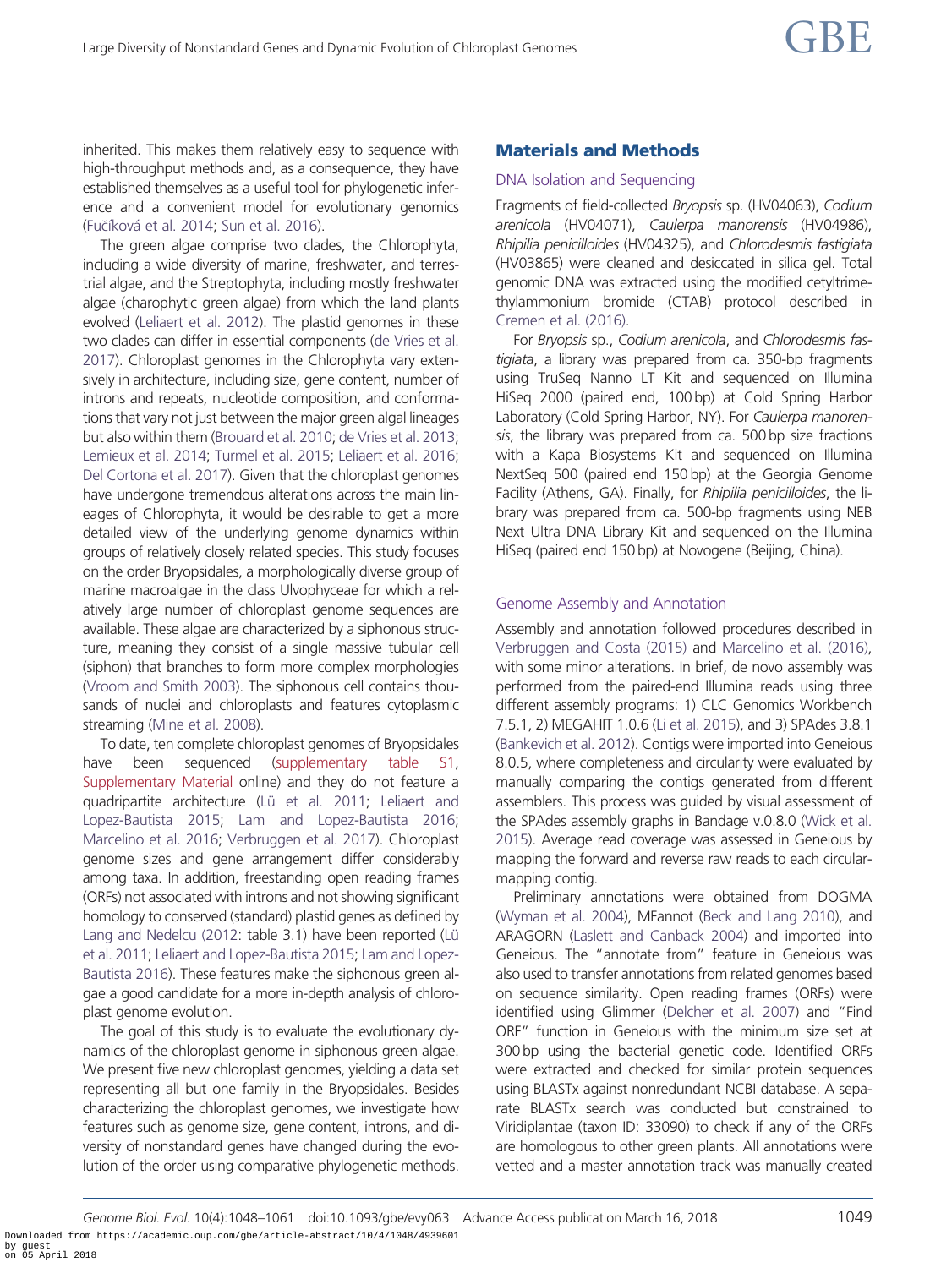inherited. This makes them relatively easy to sequence with high-throughput methods and, as a consequence, they have established themselves as a useful tool for phylogenetic inference and a convenient model for evolutionary genomics [\(Fu](#page-11-0)čí[kov](#page-11-0)á et al. 2014; [Sun et al. 2016\)](#page-13-0).

The green algae comprise two clades, the Chlorophyta, including a wide diversity of marine, freshwater, and terrestrial algae, and the Streptophyta, including mostly freshwater algae (charophytic green algae) from which the land plants evolved [\(Leliaert et al. 2012](#page-12-0)). The plastid genomes in these two clades can differ in essential components [\(de Vries et al.](#page-11-0) [2017\)](#page-11-0). Chloroplast genomes in the Chlorophyta vary extensively in architecture, including size, gene content, number of introns and repeats, nucleotide composition, and conformations that vary not just between the major green algal lineages but also within them ([Brouard et al. 2010;](#page-11-0) [de Vries et al. 2013;](#page-11-0) [Lemieux et al. 2014](#page-12-0); [Turmel et al. 2015;](#page-13-0) [Leliaert et al. 2016;](#page-12-0) [Del Cortona et al. 2017](#page-11-0)). Given that the chloroplast genomes have undergone tremendous alterations across the main lineages of Chlorophyta, it would be desirable to get a more detailed view of the underlying genome dynamics within groups of relatively closely related species. This study focuses on the order Bryopsidales, a morphologically diverse group of marine macroalgae in the class Ulvophyceae for which a relatively large number of chloroplast genome sequences are available. These algae are characterized by a siphonous structure, meaning they consist of a single massive tubular cell (siphon) that branches to form more complex morphologies [\(Vroom and Smith 2003](#page-13-0)). The siphonous cell contains thousands of nuclei and chloroplasts and features cytoplasmic streaming [\(Mine et al. 2008](#page-12-0)).

To date, ten complete chloroplast genomes of Bryopsidales have been sequenced ([supplementary table S1,](https://academic.oup.com/gbe/article-lookup/doi/10.1093/gbe/evy063#supplementary-data) [Supplementary Material](https://academic.oup.com/gbe/article-lookup/doi/10.1093/gbe/evy063#supplementary-data) online) and they do not feature a quadripartite architecture (Lü et al. 2011; [Leliaert and](#page-12-0) [Lopez-Bautista 2015;](#page-12-0) [Lam and Lopez-Bautista 2016;](#page-12-0) [Marcelino et al. 2016;](#page-12-0) [Verbruggen et al. 2017\)](#page-13-0). Chloroplast genome sizes and gene arrangement differ considerably among taxa. In addition, freestanding open reading frames (ORFs) not associated with introns and not showing significant homology to conserved (standard) plastid genes as defined by [Lang and Nedelcu \(2012:](#page-12-0) table 3.1) have been reported (Lü [et al. 2011;](#page-12-0) [Leliaert and Lopez-Bautista 2015;](#page-12-0) [Lam and Lopez-](#page-12-0)[Bautista 2016](#page-12-0)). These features make the siphonous green algae a good candidate for a more in-depth analysis of chloroplast genome evolution.

The goal of this study is to evaluate the evolutionary dynamics of the chloroplast genome in siphonous green algae. We present five new chloroplast genomes, yielding a data set representing all but one family in the Bryopsidales. Besides characterizing the chloroplast genomes, we investigate how features such as genome size, gene content, introns, and diversity of nonstandard genes have changed during the evolution of the order using comparative phylogenetic methods.

## Materials and Methods

#### DNA Isolation and Sequencing

Fragments of field-collected Bryopsis sp. (HV04063), Codium arenicola (HV04071), Caulerpa manorensis (HV04986), Rhipilia penicilloides (HV04325), and Chlorodesmis fastigiata (HV03865) were cleaned and desiccated in silica gel. Total genomic DNA was extracted using the modified cetyltrimethylammonium bromide (CTAB) protocol described in [Cremen et al. \(2016\).](#page-11-0)

For Bryopsis sp., Codium arenicola, and Chlorodesmis fastigiata, a library was prepared from ca. 350-bp fragments using TruSeq Nanno LT Kit and sequenced on Illumina HiSeq 2000 (paired end, 100 bp) at Cold Spring Harbor Laboratory (Cold Spring Harbor, NY). For Caulerpa manorensis, the library was prepared from ca. 500 bp size fractions with a Kapa Biosystems Kit and sequenced on Illumina NextSeq 500 (paired end 150 bp) at the Georgia Genome Facility (Athens, GA). Finally, for Rhipilia penicilloides, the library was prepared from ca. 500-bp fragments using NEB Next Ultra DNA Library Kit and sequenced on the Illumina HiSeq (paired end 150 bp) at Novogene (Beijing, China).

#### Genome Assembly and Annotation

Assembly and annotation followed procedures described in [Verbruggen and Costa \(2015\)](#page-13-0) and [Marcelino et al. \(2016\)](#page-12-0), with some minor alterations. In brief, de novo assembly was performed from the paired-end Illumina reads using three different assembly programs: 1) CLC Genomics Workbench 7.5.1, 2) MEGAHIT 1.0.6 ([Li et al. 2015\)](#page-12-0), and 3) SPAdes 3.8.1 [\(Bankevich et al. 2012\)](#page-11-0). Contigs were imported into Geneious 8.0.5, where completeness and circularity were evaluated by manually comparing the contigs generated from different assemblers. This process was guided by visual assessment of the SPAdes assembly graphs in Bandage v.0.8.0 ([Wick et al.](#page-13-0) [2015\)](#page-13-0). Average read coverage was assessed in Geneious by mapping the forward and reverse raw reads to each circularmapping contig.

Preliminary annotations were obtained from DOGMA [\(Wyman et al. 2004](#page-13-0)), MFannot [\(Beck and Lang 2010\)](#page-11-0), and ARAGORN [\(Laslett and Canback 2004](#page-12-0)) and imported into Geneious. The "annotate from" feature in Geneious was also used to transfer annotations from related genomes based on sequence similarity. Open reading frames (ORFs) were identified using Glimmer [\(Delcher et al. 2007\)](#page-11-0) and "Find ORF" function in Geneious with the minimum size set at 300 bp using the bacterial genetic code. Identified ORFs were extracted and checked for similar protein sequences using BLASTx against nonredundant NCBI database. A separate BLASTx search was conducted but constrained to Viridiplantae (taxon ID: 33090) to check if any of the ORFs are homologous to other green plants. All annotations were vetted and a master annotation track was manually created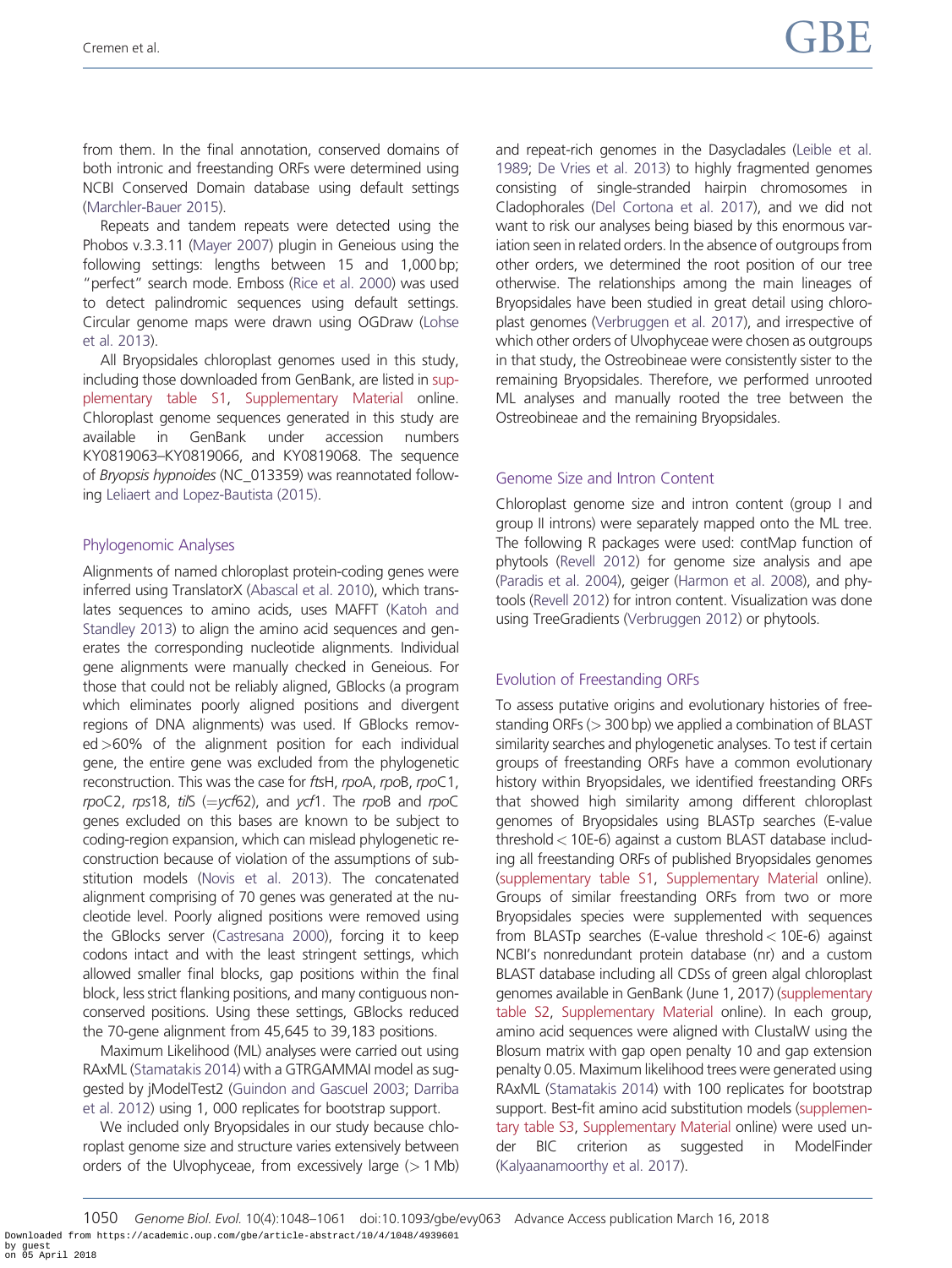from them. In the final annotation, conserved domains of both intronic and freestanding ORFs were determined using NCBI Conserved Domain database using default settings [\(Marchler-Bauer 2015\)](#page-12-0).

Repeats and tandem repeats were detected using the Phobos v.3.3.11 ([Mayer 2007](#page-12-0)) plugin in Geneious using the following settings: lengths between 15 and 1,000 bp; "perfect" search mode. Emboss [\(Rice et al. 2000](#page-13-0)) was used to detect palindromic sequences using default settings. Circular genome maps were drawn using OGDraw [\(Lohse](#page-12-0) [et al. 2013](#page-12-0)).

All Bryopsidales chloroplast genomes used in this study, including those downloaded from GenBank, are listed in [sup](https://academic.oup.com/gbe/article-lookup/doi/10.1093/gbe/evy063#supplementary-data)[plementary table S1,](https://academic.oup.com/gbe/article-lookup/doi/10.1093/gbe/evy063#supplementary-data) [Supplementary Material](https://academic.oup.com/gbe/article-lookup/doi/10.1093/gbe/evy063#supplementary-data) online. Chloroplast genome sequences generated in this study are available in GenBank under accession numbers KY0819063–KY0819066, and KY0819068. The sequence of Bryopsis hypnoides (NC\_013359) was reannotated following [Leliaert and Lopez-Bautista \(2015\).](#page-12-0)

## Phylogenomic Analyses

Alignments of named chloroplast protein-coding genes were inferred using TranslatorX [\(Abascal et al. 2010](#page-11-0)), which translates sequences to amino acids, uses MAFFT [\(Katoh and](#page-12-0) [Standley 2013\)](#page-12-0) to align the amino acid sequences and generates the corresponding nucleotide alignments. Individual gene alignments were manually checked in Geneious. For those that could not be reliably aligned, GBlocks (a program which eliminates poorly aligned positions and divergent regions of DNA alignments) was used. If GBlocks removed>60% of the alignment position for each individual gene, the entire gene was excluded from the phylogenetic reconstruction. This was the case for ftsH, rpoA, rpoB, rpoC1, rpoC2, rps18, til  $S = vcf62$ ), and ycf1. The rpoB and rpoC genes excluded on this bases are known to be subject to coding-region expansion, which can mislead phylogenetic reconstruction because of violation of the assumptions of substitution models [\(Novis et al. 2013\)](#page-12-0). The concatenated alignment comprising of 70 genes was generated at the nucleotide level. Poorly aligned positions were removed using the GBlocks server [\(Castresana 2000](#page-11-0)), forcing it to keep codons intact and with the least stringent settings, which allowed smaller final blocks, gap positions within the final block, less strict flanking positions, and many contiguous nonconserved positions. Using these settings, GBlocks reduced the 70-gene alignment from 45,645 to 39,183 positions.

Maximum Likelihood (ML) analyses were carried out using RAxML [\(Stamatakis 2014](#page-13-0)) with a GTRGAMMAI model as suggested by jModelTest2 [\(Guindon and Gascuel 2003;](#page-12-0) [Darriba](#page-11-0) [et al. 2012](#page-11-0)) using 1, 000 replicates for bootstrap support.

We included only Bryopsidales in our study because chloroplast genome size and structure varies extensively between orders of the Ulvophyceae, from excessively large  $(>1$  Mb) and repeat-rich genomes in the Dasycladales ([Leible et al.](#page-12-0) [1989;](#page-12-0) [De Vries et al. 2013\)](#page-11-0) to highly fragmented genomes consisting of single-stranded hairpin chromosomes in Cladophorales ([Del Cortona et al. 2017](#page-11-0)), and we did not want to risk our analyses being biased by this enormous variation seen in related orders. In the absence of outgroups from other orders, we determined the root position of our tree otherwise. The relationships among the main lineages of Bryopsidales have been studied in great detail using chloroplast genomes ([Verbruggen et al. 2017](#page-13-0)), and irrespective of which other orders of Ulvophyceae were chosen as outgroups in that study, the Ostreobineae were consistently sister to the remaining Bryopsidales. Therefore, we performed unrooted ML analyses and manually rooted the tree between the Ostreobineae and the remaining Bryopsidales.

## Genome Size and Intron Content

Chloroplast genome size and intron content (group I and group II introns) were separately mapped onto the ML tree. The following R packages were used: contMap function of phytools ([Revell 2012\)](#page-13-0) for genome size analysis and ape [\(Paradis et al. 2004](#page-13-0)), geiger [\(Harmon et al. 2008](#page-12-0)), and phytools [\(Revell 2012\)](#page-13-0) for intron content. Visualization was done using TreeGradients ([Verbruggen 2012\)](#page-13-0) or phytools.

# Evolution of Freestanding ORFs

To assess putative origins and evolutionary histories of freestanding ORFs (> 300 bp) we applied a combination of BLAST similarity searches and phylogenetic analyses. To test if certain groups of freestanding ORFs have a common evolutionary history within Bryopsidales, we identified freestanding ORFs that showed high similarity among different chloroplast genomes of Bryopsidales using BLASTp searches (E-value threshold< 10E-6) against a custom BLAST database including all freestanding ORFs of published Bryopsidales genomes [\(supplementary table S1](https://academic.oup.com/gbe/article-lookup/doi/10.1093/gbe/evy063#supplementary-data), [Supplementary Material](https://academic.oup.com/gbe/article-lookup/doi/10.1093/gbe/evy063#supplementary-data) online). Groups of similar freestanding ORFs from two or more Bryopsidales species were supplemented with sequences from BLASTp searches (E-value threshold < 10E-6) against NCBI's nonredundant protein database (nr) and a custom BLAST database including all CDSs of green algal chloroplast genomes available in GenBank (June 1, 2017) [\(supplementary](https://academic.oup.com/gbe/article-lookup/doi/10.1093/gbe/evy063#supplementary-data) [table S2](https://academic.oup.com/gbe/article-lookup/doi/10.1093/gbe/evy063#supplementary-data), [Supplementary Material](https://academic.oup.com/gbe/article-lookup/doi/10.1093/gbe/evy063#supplementary-data) online). In each group, amino acid sequences were aligned with ClustalW using the Blosum matrix with gap open penalty 10 and gap extension penalty 0.05. Maximum likelihood trees were generated using RAxML [\(Stamatakis 2014](#page-13-0)) with 100 replicates for bootstrap support. Best-fit amino acid substitution models [\(supplemen](https://academic.oup.com/gbe/article-lookup/doi/10.1093/gbe/evy063#supplementary-data)[tary table S3](https://academic.oup.com/gbe/article-lookup/doi/10.1093/gbe/evy063#supplementary-data), [Supplementary Material](https://academic.oup.com/gbe/article-lookup/doi/10.1093/gbe/evy063#supplementary-data) online) were used under BIC criterion as suggested in ModelFinder [\(Kalyaanamoorthy et al. 2017\)](#page-12-0).

<sup>1050</sup> Genome Biol. Evol. 10(4):1048–1061 doi:10.1093/gbe/evy063 Advance Access publication March 16, 2018 Downloaded from https://academic.oup.com/gbe/article-abstract/10/4/1048/4939601 by guest on 05 April 2018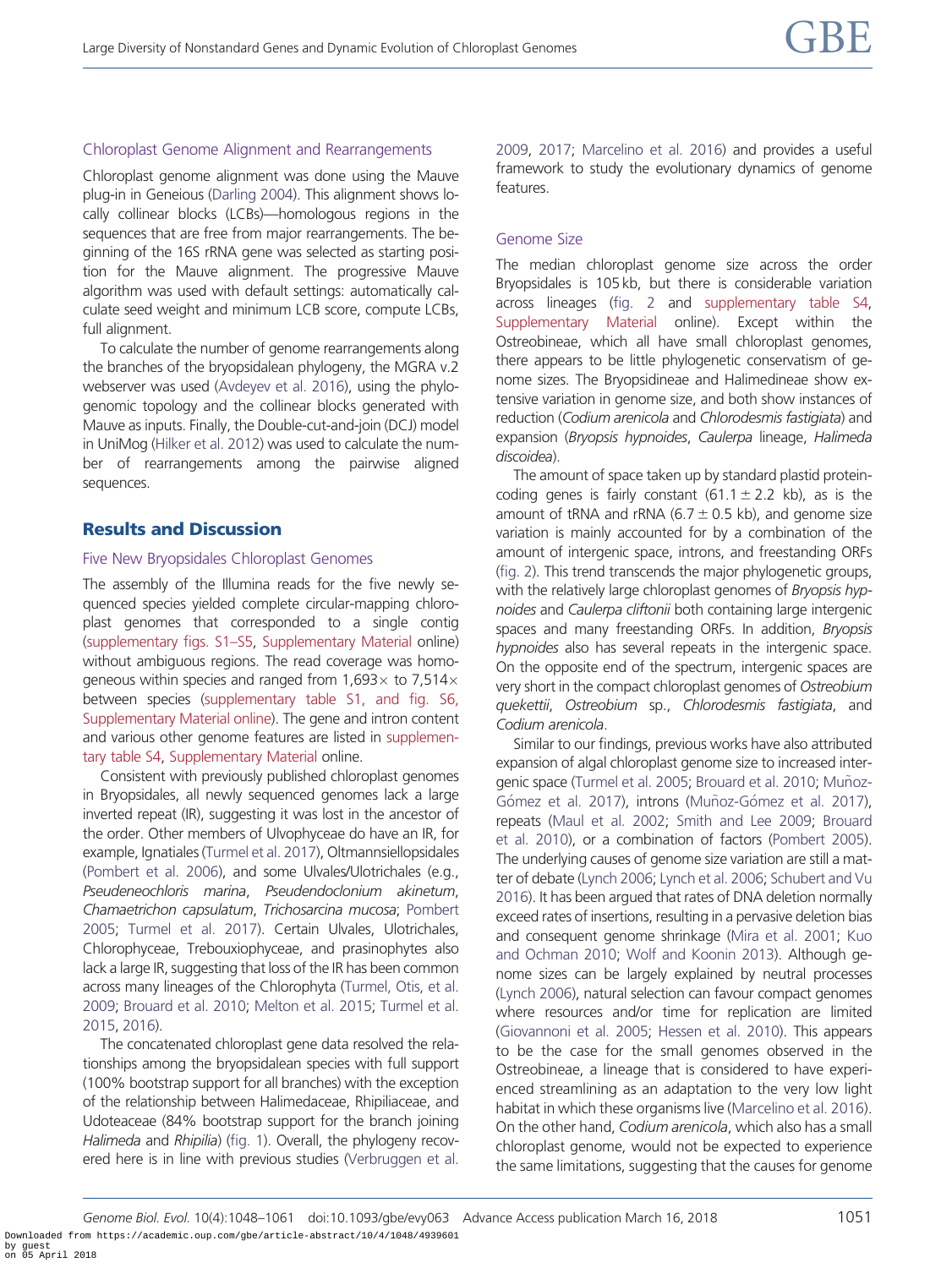# Chloroplast Genome Alignment and Rearrangements

Chloroplast genome alignment was done using the Mauve plug-in in Geneious ([Darling 2004](#page-11-0)). This alignment shows locally collinear blocks (LCBs)—homologous regions in the sequences that are free from major rearrangements. The beginning of the 16S rRNA gene was selected as starting position for the Mauve alignment. The progressive Mauve algorithm was used with default settings: automatically calculate seed weight and minimum LCB score, compute LCBs, full alignment.

To calculate the number of genome rearrangements along the branches of the bryopsidalean phylogeny, the MGRA v.2 webserver was used ([Avdeyev et al. 2016](#page-11-0)), using the phylogenomic topology and the collinear blocks generated with Mauve as inputs. Finally, the Double-cut-and-join (DCJ) model in UniMog [\(Hilker et al. 2012\)](#page-12-0) was used to calculate the number of rearrangements among the pairwise aligned sequences.

# Results and Discussion

# Five New Bryopsidales Chloroplast Genomes

The assembly of the Illumina reads for the five newly sequenced species yielded complete circular-mapping chloroplast genomes that corresponded to a single contig [\(supplementary figs. S1–S5](https://academic.oup.com/gbe/article-lookup/doi/10.1093/gbe/evy063#supplementary-data), [Supplementary Material](https://academic.oup.com/gbe/article-lookup/doi/10.1093/gbe/evy063#supplementary-data) online) without ambiguous regions. The read coverage was homogeneous within species and ranged from 1,693 $\times$  to 7,514 $\times$ between species [\(supplementary table S1, and fig. S6,](https://academic.oup.com/gbe/article-lookup/doi/10.1093/gbe/evy063#supplementary-data) [Supplementary Material online\)](https://academic.oup.com/gbe/article-lookup/doi/10.1093/gbe/evy063#supplementary-data). The gene and intron content and various other genome features are listed in [supplemen](https://academic.oup.com/gbe/article-lookup/doi/10.1093/gbe/evy063#supplementary-data)[tary table S4,](https://academic.oup.com/gbe/article-lookup/doi/10.1093/gbe/evy063#supplementary-data) [Supplementary Material](https://academic.oup.com/gbe/article-lookup/doi/10.1093/gbe/evy063#supplementary-data) online.

Consistent with previously published chloroplast genomes in Bryopsidales, all newly sequenced genomes lack a large inverted repeat (IR), suggesting it was lost in the ancestor of the order. Other members of Ulvophyceae do have an IR, for example, Ignatiales ([Turmel et al. 2017\)](#page-13-0), Oltmannsiellopsidales [\(Pombert et al. 2006\)](#page-13-0), and some Ulvales/Ulotrichales (e.g., Pseudeneochloris marina, Pseudendoclonium akinetum, Chamaetrichon capsulatum, Trichosarcina mucosa; [Pombert](#page-13-0) [2005](#page-13-0); [Turmel et al. 2017\)](#page-13-0). Certain Ulvales, Ulotrichales, Chlorophyceae, Trebouxiophyceae, and prasinophytes also lack a large IR, suggesting that loss of the IR has been common across many lineages of the Chlorophyta ([Turmel, Otis, et al.](#page-13-0) [2009](#page-13-0); [Brouard et al. 2010;](#page-11-0) [Melton et al. 2015;](#page-12-0) [Turmel et al.](#page-13-0) [2015](#page-13-0), [2016](#page-13-0)).

The concatenated chloroplast gene data resolved the relationships among the bryopsidalean species with full support (100% bootstrap support for all branches) with the exception of the relationship between Halimedaceae, Rhipiliaceae, and Udoteaceae (84% bootstrap support for the branch joining Halimeda and Rhipilia) [\(fig. 1\)](#page-4-0). Overall, the phylogeny recovered here is in line with previous studies [\(Verbruggen et al.](#page-13-0) [2009,](#page-13-0) [2017;](#page-13-0) [Marcelino et al. 2016\)](#page-12-0) and provides a useful framework to study the evolutionary dynamics of genome features.

# Genome Size

The median chloroplast genome size across the order Bryopsidales is 105 kb, but there is considerable variation across lineages [\(fig. 2](#page-5-0) and [supplementary table S4](https://academic.oup.com/gbe/article-lookup/doi/10.1093/gbe/evy063#supplementary-data), [Supplementary Material](https://academic.oup.com/gbe/article-lookup/doi/10.1093/gbe/evy063#supplementary-data) online). Except within the Ostreobineae, which all have small chloroplast genomes, there appears to be little phylogenetic conservatism of genome sizes. The Bryopsidineae and Halimedineae show extensive variation in genome size, and both show instances of reduction (Codium arenicola and Chlorodesmis fastigiata) and expansion (Bryopsis hypnoides, Caulerpa lineage, Halimeda discoidea).

The amount of space taken up by standard plastid proteincoding genes is fairly constant (61.1  $\pm$  2.2 kb), as is the amount of tRNA and rRNA (6.7  $\pm$  0.5 kb), and genome size variation is mainly accounted for by a combination of the amount of intergenic space, introns, and freestanding ORFs [\(fig. 2](#page-5-0)). This trend transcends the major phylogenetic groups, with the relatively large chloroplast genomes of *Bryopsis hyp*noides and Caulerpa cliftonii both containing large intergenic spaces and many freestanding ORFs. In addition, Bryopsis hypnoides also has several repeats in the intergenic space. On the opposite end of the spectrum, intergenic spaces are very short in the compact chloroplast genomes of Ostreobium quekettii, Ostreobium sp., Chlorodesmis fastigiata, and Codium arenicola.

Similar to our findings, previous works have also attributed expansion of algal chloroplast genome size to increased inter-genic space [\(Turmel et al. 2005;](#page-13-0) [Brouard et al. 2010](#page-11-0); [Mu](#page-12-0)ñ[oz-](#page-12-0) Gómez et al. 2017), introns (Muñoz-Gómez et al. 2017), repeats ([Maul et al. 2002](#page-12-0); [Smith and Lee 2009;](#page-13-0) [Brouard](#page-11-0) [et al. 2010\)](#page-11-0), or a combination of factors [\(Pombert 2005\)](#page-13-0). The underlying causes of genome size variation are still a matter of debate [\(Lynch 2006](#page-12-0); [Lynch et al. 2006;](#page-12-0) [Schubert and Vu](#page-13-0) [2016\)](#page-13-0). It has been argued that rates of DNA deletion normally exceed rates of insertions, resulting in a pervasive deletion bias and consequent genome shrinkage [\(Mira et al. 2001;](#page-12-0) [Kuo](#page-12-0) [and Ochman 2010;](#page-12-0) [Wolf and Koonin 2013](#page-13-0)). Although genome sizes can be largely explained by neutral processes [\(Lynch 2006\)](#page-12-0), natural selection can favour compact genomes where resources and/or time for replication are limited [\(Giovannoni et al. 2005;](#page-12-0) [Hessen et al. 2010\)](#page-12-0). This appears to be the case for the small genomes observed in the Ostreobineae, a lineage that is considered to have experienced streamlining as an adaptation to the very low light habitat in which these organisms live ([Marcelino et al. 2016\)](#page-12-0). On the other hand, Codium arenicola, which also has a small chloroplast genome, would not be expected to experience the same limitations, suggesting that the causes for genome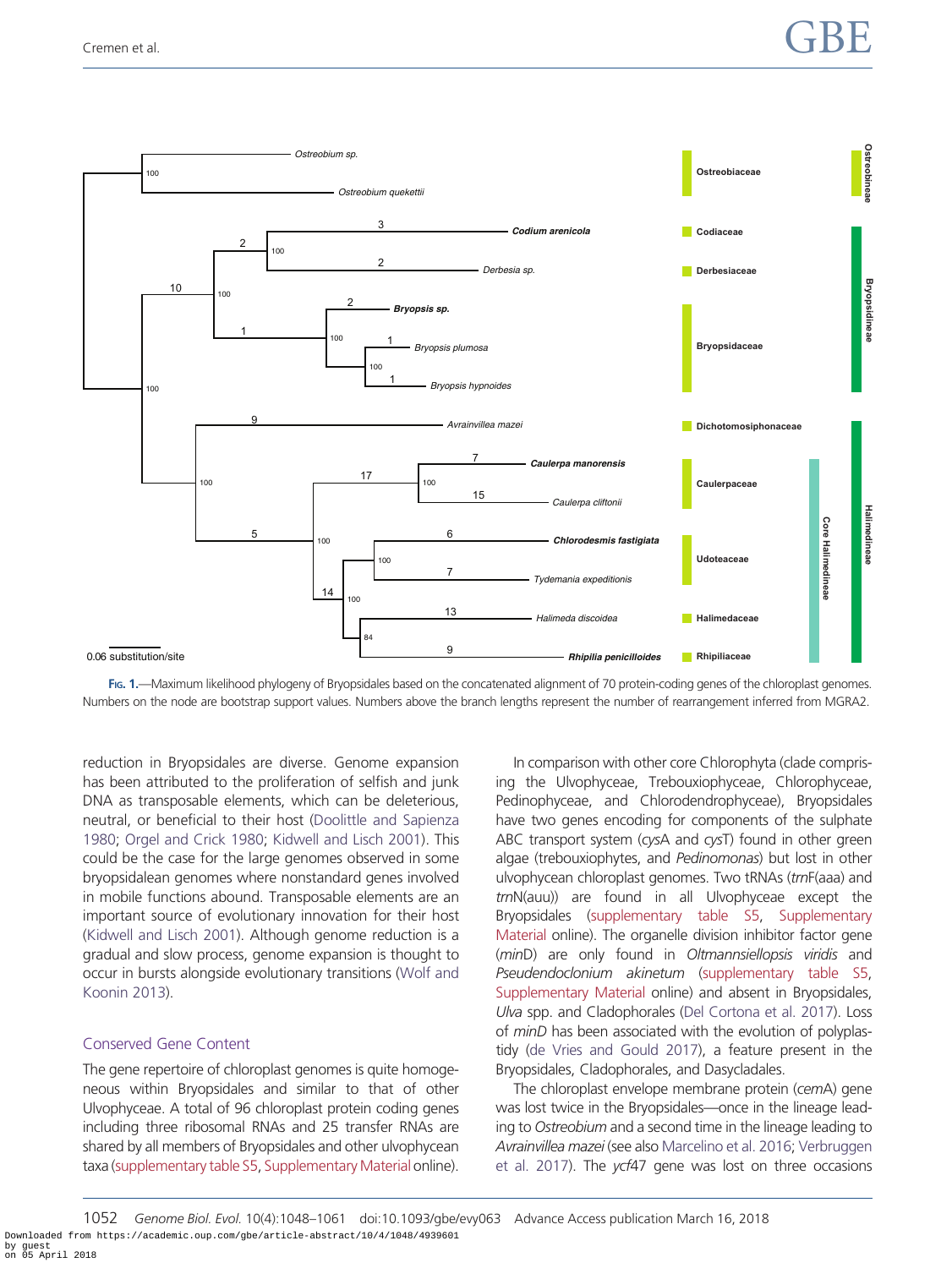<span id="page-4-0"></span>

FIG. 1.—Maximum likelihood phylogeny of Bryopsidales based on the concatenated alignment of 70 protein-coding genes of the chloroplast genomes. Numbers on the node are bootstrap support values. Numbers above the branch lengths represent the number of rearrangement inferred from MGRA2.

reduction in Bryopsidales are diverse. Genome expansion has been attributed to the proliferation of selfish and junk DNA as transposable elements, which can be deleterious, neutral, or beneficial to their host [\(Doolittle and Sapienza](#page-11-0) [1980](#page-11-0); [Orgel and Crick 1980;](#page-12-0) [Kidwell and Lisch 2001\)](#page-12-0). This could be the case for the large genomes observed in some bryopsidalean genomes where nonstandard genes involved in mobile functions abound. Transposable elements are an important source of evolutionary innovation for their host [\(Kidwell and Lisch 2001\)](#page-12-0). Although genome reduction is a gradual and slow process, genome expansion is thought to occur in bursts alongside evolutionary transitions [\(Wolf and](#page-13-0) [Koonin 2013\)](#page-13-0).

#### Conserved Gene Content

The gene repertoire of chloroplast genomes is quite homogeneous within Bryopsidales and similar to that of other Ulvophyceae. A total of 96 chloroplast protein coding genes including three ribosomal RNAs and 25 transfer RNAs are shared by all members of Bryopsidales and other ulvophycean taxa [\(supplementary table S5](https://academic.oup.com/gbe/article-lookup/doi/10.1093/gbe/evy063#supplementary-data), [Supplementary Material](https://academic.oup.com/gbe/article-lookup/doi/10.1093/gbe/evy063#supplementary-data) online).

In comparison with other core Chlorophyta (clade comprising the Ulvophyceae, Trebouxiophyceae, Chlorophyceae, Pedinophyceae, and Chlorodendrophyceae), Bryopsidales have two genes encoding for components of the sulphate ABC transport system (cysA and cysT) found in other green algae (trebouxiophytes, and Pedinomonas) but lost in other ulvophycean chloroplast genomes. Two tRNAs (trnF(aaa) and trnN(auu)) are found in all Ulvophyceae except the Bryopsidales ([supplementary table S5](https://academic.oup.com/gbe/article-lookup/doi/10.1093/gbe/evy063#supplementary-data), [Supplementary](https://academic.oup.com/gbe/article-lookup/doi/10.1093/gbe/evy063#supplementary-data) [Material](https://academic.oup.com/gbe/article-lookup/doi/10.1093/gbe/evy063#supplementary-data) online). The organelle division inhibitor factor gene (minD) are only found in Oltmannsiellopsis viridis and Pseudendoclonium akinetum ([supplementary table S5](https://academic.oup.com/gbe/article-lookup/doi/10.1093/gbe/evy063#supplementary-data), [Supplementary Material](https://academic.oup.com/gbe/article-lookup/doi/10.1093/gbe/evy063#supplementary-data) online) and absent in Bryopsidales, Ulva spp. and Cladophorales [\(Del Cortona et al. 2017\)](#page-11-0). Loss of minD has been associated with the evolution of polyplastidy [\(de Vries and Gould 2017\)](#page-11-0), a feature present in the Bryopsidales, Cladophorales, and Dasycladales.

The chloroplast envelope membrane protein (cemA) gene was lost twice in the Bryopsidales—once in the lineage leading to Ostreobium and a second time in the lineage leading to Avrainvillea mazei (see also [Marcelino et al. 2016](#page-12-0); [Verbruggen](#page-13-0) [et al. 2017\)](#page-13-0). The ycf47 gene was lost on three occasions

1052 Genome Biol. Evol. 10(4):1048–1061 doi:10.1093/gbe/evy063 Advance Access publication March 16, 2018 Downloaded from https://academic.oup.com/gbe/article-abstract/10/4/1048/4939601 by guest on 05 April 2018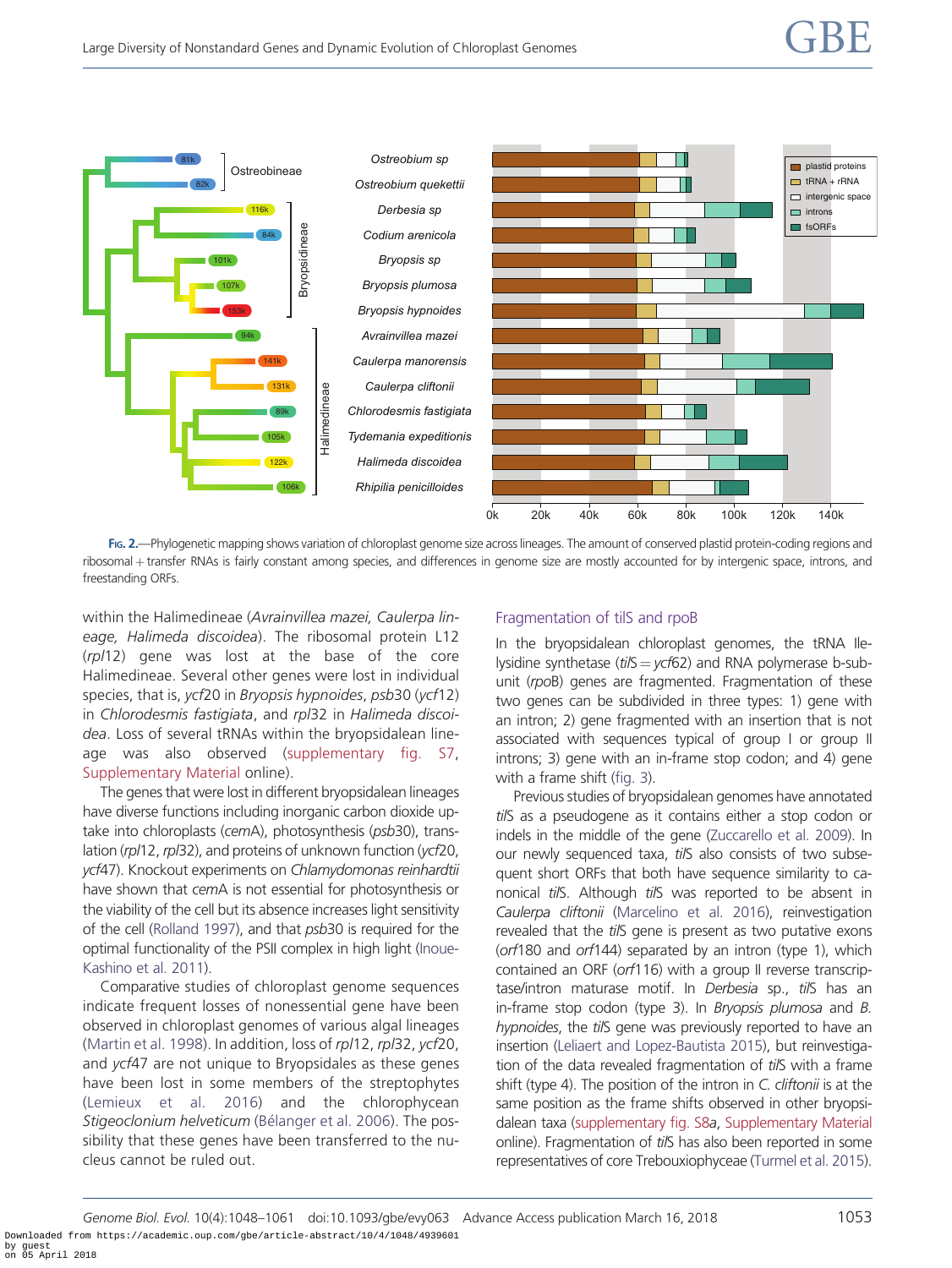<span id="page-5-0"></span>

FIG. 2.—Phylogenetic mapping shows variation of chloroplast genome size across lineages. The amount of conserved plastid protein-coding regions and ribosomal + transfer RNAs is fairly constant among species, and differences in genome size are mostly accounted for by intergenic space, introns, and freestanding ORFs.

within the Halimedineae (Avrainvillea mazei, Caulerpa lineage, Halimeda discoidea). The ribosomal protein L12 (rpl12) gene was lost at the base of the core Halimedineae. Several other genes were lost in individual species, that is, ycf20 in Bryopsis hypnoides, psb30 (ycf12) in Chlorodesmis fastigiata, and rpl32 in Halimeda discoidea. Loss of several tRNAs within the bryopsidalean lineage was also observed ([supplementary fig. S7,](https://academic.oup.com/gbe/article-lookup/doi/10.1093/gbe/evy063#supplementary-data) [Supplementary Material](https://academic.oup.com/gbe/article-lookup/doi/10.1093/gbe/evy063#supplementary-data) online).

The genes that were lost in different bryopsidalean lineages have diverse functions including inorganic carbon dioxide uptake into chloroplasts (cemA), photosynthesis (psb30), translation (rpl12, rpl32), and proteins of unknown function (ycf20, ycf47). Knockout experiments on Chlamydomonas reinhardtii have shown that cemA is not essential for photosynthesis or the viability of the cell but its absence increases light sensitivity of the cell ([Rolland 1997](#page-13-0)), and that psb30 is required for the optimal functionality of the PSII complex in high light ([Inoue-](#page-12-0)[Kashino et al. 2011\)](#page-12-0).

Comparative studies of chloroplast genome sequences indicate frequent losses of nonessential gene have been observed in chloroplast genomes of various algal lineages ([Martin et al. 1998](#page-12-0)). In addition, loss of rpl12, rpl32, ycf20, and ycf47 are not unique to Bryopsidales as these genes have been lost in some members of the streptophytes ([Lemieux et al. 2016\)](#page-12-0) and the chlorophycean Stigeoclonium helveticum ([B](#page-11-0)élanger et al. 2006). The possibility that these genes have been transferred to the nucleus cannot be ruled out.

#### Fragmentation of tilS and rpoB

In the bryopsidalean chloroplast genomes, the tRNA Ilelysidine synthetase ( $t$ i/S =  $ycf62$ ) and RNA polymerase b-subunit (rpoB) genes are fragmented. Fragmentation of these two genes can be subdivided in three types: 1) gene with an intron; 2) gene fragmented with an insertion that is not associated with sequences typical of group I or group II introns; 3) gene with an in-frame stop codon; and 4) gene with a frame shift [\(fig. 3\)](#page-6-0).

Previous studies of bryopsidalean genomes have annotated tilS as a pseudogene as it contains either a stop codon or indels in the middle of the gene ([Zuccarello et al. 2009](#page-13-0)). In our newly sequenced taxa, tilS also consists of two subsequent short ORFs that both have sequence similarity to canonical tilS. Although tilS was reported to be absent in Caulerpa cliftonii [\(Marcelino et al. 2016\)](#page-12-0), reinvestigation revealed that the tilS gene is present as two putative exons (orf180 and orf144) separated by an intron (type 1), which contained an ORF (orf116) with a group II reverse transcriptase/intron maturase motif. In Derbesia sp., tilS has an in-frame stop codon (type 3). In Bryopsis plumosa and B. hypnoides, the tilS gene was previously reported to have an insertion [\(Leliaert and Lopez-Bautista 2015](#page-12-0)), but reinvestigation of the data revealed fragmentation of tilS with a frame shift (type 4). The position of the intron in C. cliftonii is at the same position as the frame shifts observed in other bryopsidalean taxa [\(supplementary fig. S8](https://academic.oup.com/gbe/article-lookup/doi/10.1093/gbe/evy063#supplementary-data)a, [Supplementary Material](https://academic.oup.com/gbe/article-lookup/doi/10.1093/gbe/evy063#supplementary-data) online). Fragmentation of tilS has also been reported in some representatives of core Trebouxiophyceae [\(Turmel et al. 2015\)](#page-13-0).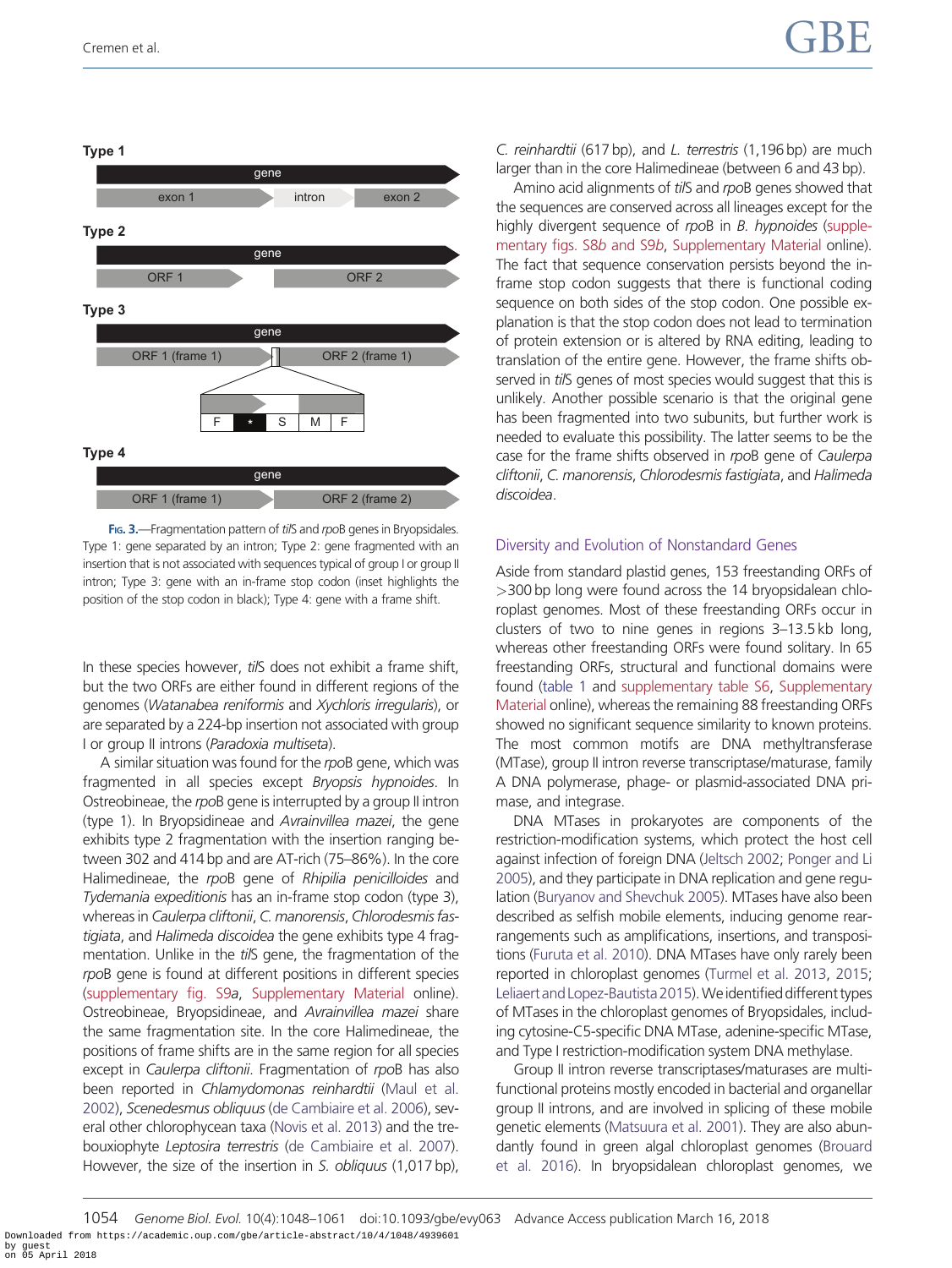<span id="page-6-0"></span>

FIG. 3.-Fragmentation pattern of tilS and rpoB genes in Bryopsidales. Type 1: gene separated by an intron; Type 2: gene fragmented with an insertion that is not associated with sequences typical of group I or group II intron; Type 3: gene with an in-frame stop codon (inset highlights the position of the stop codon in black); Type 4: gene with a frame shift.

In these species however, tilS does not exhibit a frame shift, but the two ORFs are either found in different regions of the genomes (Watanabea reniformis and Xychloris irregularis), or are separated by a 224-bp insertion not associated with group I or group II introns (Paradoxia multiseta).

A similar situation was found for the rpoB gene, which was fragmented in all species except Bryopsis hypnoides. In Ostreobineae, the rpoB gene is interrupted by a group II intron (type 1). In Bryopsidineae and Avrainvillea mazei, the gene exhibits type 2 fragmentation with the insertion ranging between 302 and 414 bp and are AT-rich (75–86%). In the core Halimedineae, the rpoB gene of Rhipilia penicilloides and Tydemania expeditionis has an in-frame stop codon (type 3), whereas in Caulerpa cliftonii, C. manorensis, Chlorodesmis fastigiata, and Halimeda discoidea the gene exhibits type 4 fragmentation. Unlike in the tilS gene, the fragmentation of the rpoB gene is found at different positions in different species [\(supplementary fig. S9](https://academic.oup.com/gbe/article-lookup/doi/10.1093/gbe/evy063#supplementary-data)a, [Supplementary Material](https://academic.oup.com/gbe/article-lookup/doi/10.1093/gbe/evy063#supplementary-data) online). Ostreobineae, Bryopsidineae, and Avrainvillea mazei share the same fragmentation site. In the core Halimedineae, the positions of frame shifts are in the same region for all species except in Caulerpa cliftonii. Fragmentation of rpoB has also been reported in Chlamydomonas reinhardtii [\(Maul et al.](#page-12-0) [2002](#page-12-0)), Scenedesmus obliquus ([de Cambiaire et al. 2006\)](#page-11-0), several other chlorophycean taxa ([Novis et al. 2013](#page-12-0)) and the trebouxiophyte Leptosira terrestris ([de Cambiaire et al. 2007](#page-11-0)). However, the size of the insertion in S. obliquus (1,017 bp), C. reinhardtii (617 bp), and L. terrestris (1,196 bp) are much larger than in the core Halimedineae (between 6 and 43 bp).

Amino acid alignments of tilS and rpoB genes showed that the sequences are conserved across all lineages except for the highly divergent sequence of rpoB in B. hypnoides ([supple](https://academic.oup.com/gbe/article-lookup/doi/10.1093/gbe/evy063#supplementary-data)[mentary figs. S8](https://academic.oup.com/gbe/article-lookup/doi/10.1093/gbe/evy063#supplementary-data)b and S9b, [Supplementary Material](https://academic.oup.com/gbe/article-lookup/doi/10.1093/gbe/evy063#supplementary-data) online). The fact that sequence conservation persists beyond the inframe stop codon suggests that there is functional coding sequence on both sides of the stop codon. One possible explanation is that the stop codon does not lead to termination of protein extension or is altered by RNA editing, leading to translation of the entire gene. However, the frame shifts observed in tilS genes of most species would suggest that this is unlikely. Another possible scenario is that the original gene has been fragmented into two subunits, but further work is needed to evaluate this possibility. The latter seems to be the case for the frame shifts observed in rpoB gene of Caulerpa cliftonii, C. manorensis, Chlorodesmis fastigiata, and Halimeda discoidea.

## Diversity and Evolution of Nonstandard Genes

Aside from standard plastid genes, 153 freestanding ORFs of >300 bp long were found across the 14 bryopsidalean chloroplast genomes. Most of these freestanding ORFs occur in clusters of two to nine genes in regions 3–13.5 kb long, whereas other freestanding ORFs were found solitary. In 65 freestanding ORFs, structural and functional domains were found ([table 1](#page-7-0) and [supplementary table S6,](https://academic.oup.com/gbe/article-lookup/doi/10.1093/gbe/evy063#supplementary-data) [Supplementary](https://academic.oup.com/gbe/article-lookup/doi/10.1093/gbe/evy063#supplementary-data) [Material](https://academic.oup.com/gbe/article-lookup/doi/10.1093/gbe/evy063#supplementary-data) online), whereas the remaining 88 freestanding ORFs showed no significant sequence similarity to known proteins. The most common motifs are DNA methyltransferase (MTase), group II intron reverse transcriptase/maturase, family A DNA polymerase, phage- or plasmid-associated DNA primase, and integrase.

DNA MTases in prokaryotes are components of the restriction-modification systems, which protect the host cell against infection of foreign DNA [\(Jeltsch 2002;](#page-12-0) [Ponger and Li](#page-13-0) [2005\)](#page-13-0), and they participate in DNA replication and gene regulation [\(Buryanov and Shevchuk 2005\)](#page-11-0). MTases have also been described as selfish mobile elements, inducing genome rearrangements such as amplifications, insertions, and transpositions [\(Furuta et al. 2010](#page-11-0)). DNA MTases have only rarely been reported in chloroplast genomes ([Turmel et al. 2013](#page-13-0), [2015](#page-13-0); Leliaert and Lopez-Bautista 2015). We identified different types of MTases in the chloroplast genomes of Bryopsidales, including cytosine-C5-specific DNA MTase, adenine-specific MTase, and Type I restriction-modification system DNA methylase.

Group II intron reverse transcriptases/maturases are multifunctional proteins mostly encoded in bacterial and organellar group II introns, and are involved in splicing of these mobile genetic elements [\(Matsuura et al. 2001](#page-12-0)). They are also abundantly found in green algal chloroplast genomes [\(Brouard](#page-11-0) [et al. 2016\)](#page-11-0). In bryopsidalean chloroplast genomes, we

1054 Genome Biol. Evol. 10(4):1048–1061 doi:10.1093/gbe/evy063 Advance Access publication March 16, 2018 Downloaded from https://academic.oup.com/gbe/article-abstract/10/4/1048/4939601 by guest on 05 April 2018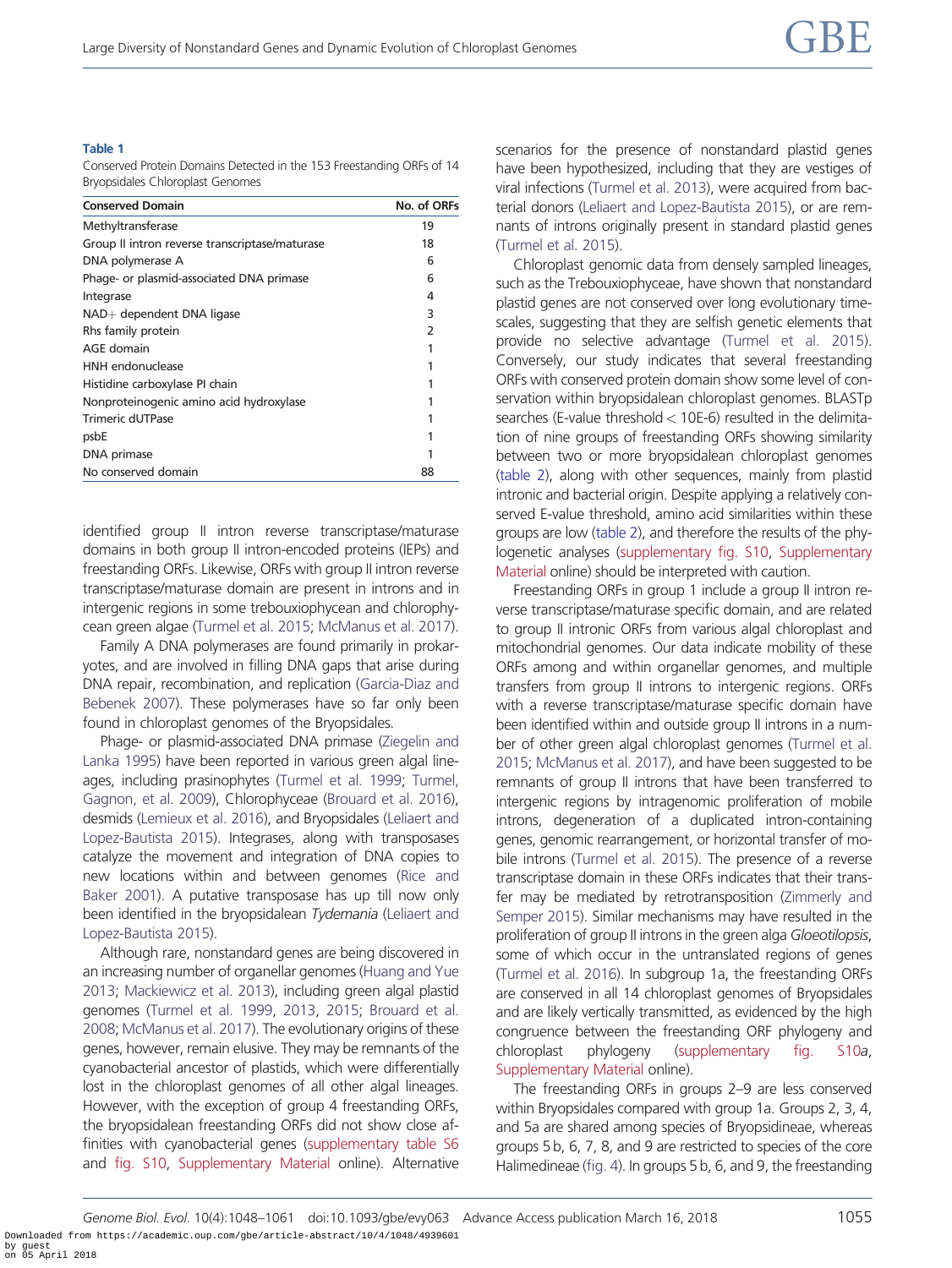#### <span id="page-7-0"></span>Table 1

Conserved Protein Domains Detected in the 153 Freestanding ORFs of 14 Bryopsidales Chloroplast Genomes

| <b>Conserved Domain</b>                        | No. of ORFs   |
|------------------------------------------------|---------------|
| Methyltransferase                              | 19            |
| Group II intron reverse transcriptase/maturase | 18            |
| DNA polymerase A                               | 6             |
| Phage- or plasmid-associated DNA primase       | 6             |
| Integrase                                      | 4             |
| $NAD+$ dependent DNA ligase                    | 3             |
| Rhs family protein                             | $\mathcal{P}$ |
| AGE domain                                     |               |
| HNH endonuclease                               |               |
| Histidine carboxylase PI chain                 |               |
| Nonproteinogenic amino acid hydroxylase        |               |
| <b>Trimeric dUTPase</b>                        |               |
| psbE                                           |               |
| DNA primase                                    |               |
| No conserved domain                            | 88            |

identified group II intron reverse transcriptase/maturase domains in both group II intron-encoded proteins (IEPs) and freestanding ORFs. Likewise, ORFs with group II intron reverse transcriptase/maturase domain are present in introns and in intergenic regions in some trebouxiophycean and chlorophycean green algae [\(Turmel et al. 2015](#page-13-0); [McManus et al. 2017](#page-12-0)).

Family A DNA polymerases are found primarily in prokaryotes, and are involved in filling DNA gaps that arise during DNA repair, recombination, and replication [\(Garcia-Diaz and](#page-11-0) [Bebenek 2007\)](#page-11-0). These polymerases have so far only been found in chloroplast genomes of the Bryopsidales.

Phage- or plasmid-associated DNA primase [\(Ziegelin and](#page-13-0) [Lanka 1995](#page-13-0)) have been reported in various green algal lineages, including prasinophytes [\(Turmel et al. 1999](#page-13-0); [Turmel,](#page-13-0) [Gagnon, et al. 2009](#page-13-0)), Chlorophyceae ([Brouard et al. 2016](#page-11-0)), desmids [\(Lemieux et al. 2016](#page-12-0)), and Bryopsidales [\(Leliaert and](#page-12-0) [Lopez-Bautista 2015](#page-12-0)). Integrases, along with transposases catalyze the movement and integration of DNA copies to new locations within and between genomes ([Rice and](#page-13-0) [Baker 2001](#page-13-0)). A putative transposase has up till now only been identified in the bryopsidalean Tydemania [\(Leliaert and](#page-12-0) [Lopez-Bautista 2015](#page-12-0)).

Although rare, nonstandard genes are being discovered in an increasing number of organellar genomes [\(Huang and Yue](#page-12-0) [2013](#page-12-0); [Mackiewicz et al. 2013](#page-12-0)), including green algal plastid genomes [\(Turmel et al. 1999,](#page-13-0) [2013,](#page-13-0) [2015;](#page-13-0) [Brouard et al.](#page-11-0) [2008](#page-11-0); [McManus et al. 2017](#page-12-0)). The evolutionary origins of these genes, however, remain elusive. They may be remnants of the cyanobacterial ancestor of plastids, which were differentially lost in the chloroplast genomes of all other algal lineages. However, with the exception of group 4 freestanding ORFs, the bryopsidalean freestanding ORFs did not show close affinities with cyanobacterial genes [\(supplementary table S6](https://academic.oup.com/gbe/article-lookup/doi/10.1093/gbe/evy063#supplementary-data) and [fig. S10](https://academic.oup.com/gbe/article-lookup/doi/10.1093/gbe/evy063#supplementary-data), [Supplementary Material](https://academic.oup.com/gbe/article-lookup/doi/10.1093/gbe/evy063#supplementary-data) online). Alternative scenarios for the presence of nonstandard plastid genes have been hypothesized, including that they are vestiges of viral infections ([Turmel et al. 2013](#page-13-0)), were acquired from bacterial donors ([Leliaert and Lopez-Bautista 2015\)](#page-12-0), or are remnants of introns originally present in standard plastid genes [\(Turmel et al. 2015\)](#page-13-0).

Chloroplast genomic data from densely sampled lineages, such as the Trebouxiophyceae, have shown that nonstandard plastid genes are not conserved over long evolutionary timescales, suggesting that they are selfish genetic elements that provide no selective advantage ([Turmel et al. 2015\)](#page-13-0). Conversely, our study indicates that several freestanding ORFs with conserved protein domain show some level of conservation within bryopsidalean chloroplast genomes. BLASTp searches (E-value threshold< 10E-6) resulted in the delimitation of nine groups of freestanding ORFs showing similarity between two or more bryopsidalean chloroplast genomes [\(table 2](#page-8-0)), along with other sequences, mainly from plastid intronic and bacterial origin. Despite applying a relatively conserved E-value threshold, amino acid similarities within these groups are low ([table 2](#page-8-0)), and therefore the results of the phylogenetic analyses [\(supplementary fig. S10,](https://academic.oup.com/gbe/article-lookup/doi/10.1093/gbe/evy063#supplementary-data) [Supplementary](https://academic.oup.com/gbe/article-lookup/doi/10.1093/gbe/evy063#supplementary-data) [Material](https://academic.oup.com/gbe/article-lookup/doi/10.1093/gbe/evy063#supplementary-data) online) should be interpreted with caution.

Freestanding ORFs in group 1 include a group II intron reverse transcriptase/maturase specific domain, and are related to group II intronic ORFs from various algal chloroplast and mitochondrial genomes. Our data indicate mobility of these ORFs among and within organellar genomes, and multiple transfers from group II introns to intergenic regions. ORFs with a reverse transcriptase/maturase specific domain have been identified within and outside group II introns in a number of other green algal chloroplast genomes ([Turmel et al.](#page-13-0) [2015;](#page-13-0) [McManus et al. 2017\)](#page-12-0), and have been suggested to be remnants of group II introns that have been transferred to intergenic regions by intragenomic proliferation of mobile introns, degeneration of a duplicated intron-containing genes, genomic rearrangement, or horizontal transfer of mobile introns [\(Turmel et al. 2015](#page-13-0)). The presence of a reverse transcriptase domain in these ORFs indicates that their transfer may be mediated by retrotransposition [\(Zimmerly and](#page-13-0) [Semper 2015\)](#page-13-0). Similar mechanisms may have resulted in the proliferation of group II introns in the green alga Gloeotilopsis, some of which occur in the untranslated regions of genes [\(Turmel et al. 2016\)](#page-13-0). In subgroup 1a, the freestanding ORFs are conserved in all 14 chloroplast genomes of Bryopsidales and are likely vertically transmitted, as evidenced by the high congruence between the freestanding ORF phylogeny and chloroplast phylogeny ([supplementary fig. S10](https://academic.oup.com/gbe/article-lookup/doi/10.1093/gbe/evy063#supplementary-data)a, [Supplementary Material](https://academic.oup.com/gbe/article-lookup/doi/10.1093/gbe/evy063#supplementary-data) online).

The freestanding ORFs in groups 2–9 are less conserved within Bryopsidales compared with group 1a. Groups 2, 3, 4, and 5a are shared among species of Bryopsidineae, whereas groups 5 b, 6, 7, 8, and 9 are restricted to species of the core Halimedineae [\(fig. 4\)](#page-9-0). In groups 5 b, 6, and 9, the freestanding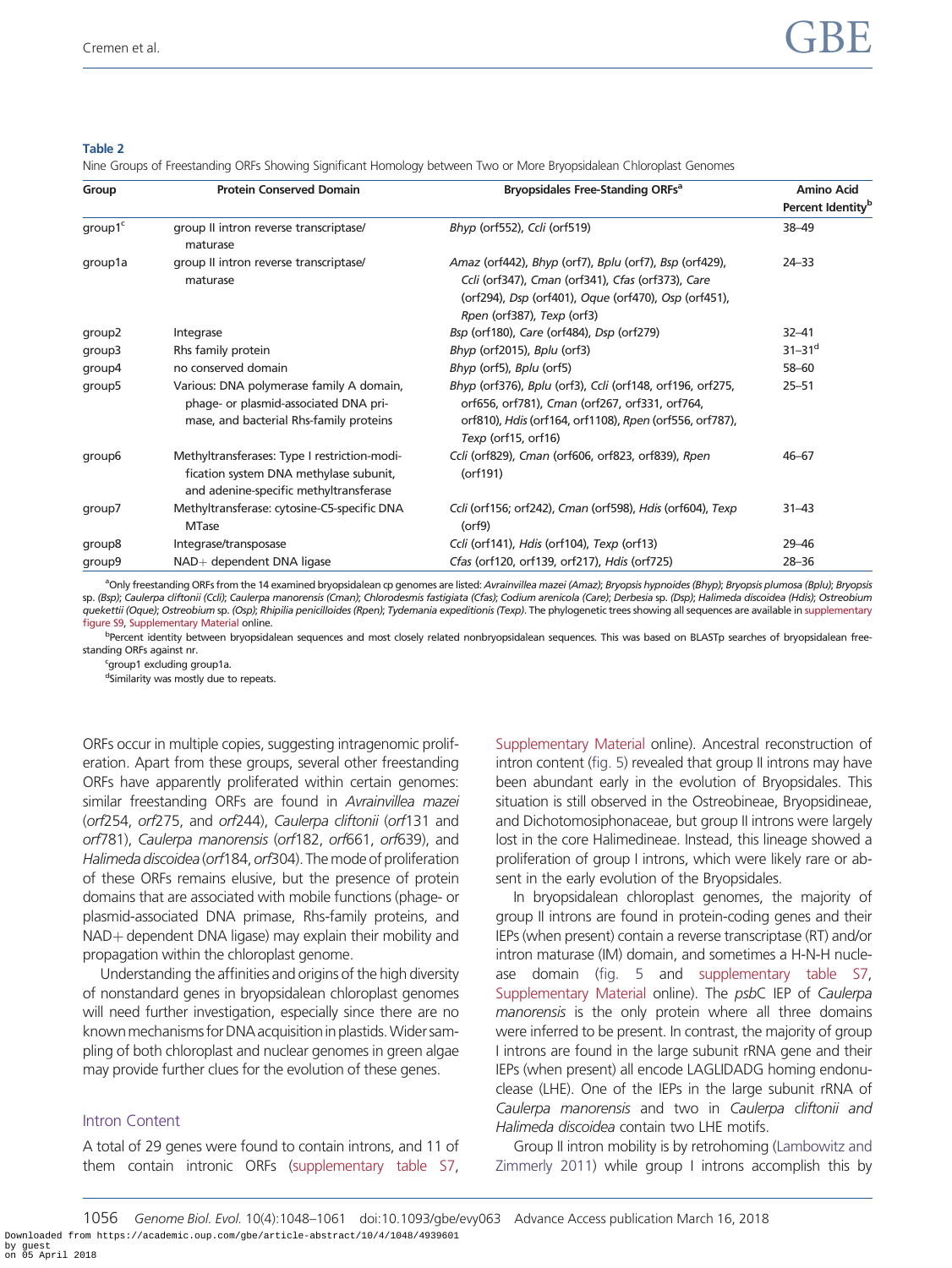#### <span id="page-8-0"></span>Table 2

Nine Groups of Freestanding ORFs Showing Significant Homology between Two or More Bryopsidalean Chloroplast Genomes

| Group               | <b>Protein Conserved Domain</b>                                                                                                  | Bryopsidales Free-Standing ORFs <sup>a</sup>                                                                                                                                                      | <b>Amino Acid</b><br>Percent Identity <sup>b</sup> |
|---------------------|----------------------------------------------------------------------------------------------------------------------------------|---------------------------------------------------------------------------------------------------------------------------------------------------------------------------------------------------|----------------------------------------------------|
| group1 <sup>c</sup> | group II intron reverse transcriptase/<br>maturase                                                                               | Bhyp (orf552), Ccli (orf519)                                                                                                                                                                      | 38-49                                              |
| group1a             | group II intron reverse transcriptase/<br>maturase                                                                               | Amaz (orf442), Bhyp (orf7), Bplu (orf7), Bsp (orf429),<br>Ccli (orf347), Cman (orf341), Cfas (orf373), Care<br>(orf294), Dsp (orf401), Oque (orf470), Osp (orf451),<br>Rpen (orf387), Texp (orf3) | $24 - 33$                                          |
| group <sub>2</sub>  | Integrase                                                                                                                        | Bsp (orf180), Care (orf484), Dsp (orf279)                                                                                                                                                         | $32 - 41$                                          |
| group3              | Rhs family protein                                                                                                               | Bhyp (orf2015), Bplu (orf3)                                                                                                                                                                       | $31 - 31$ <sup>d</sup>                             |
| qroup4              | no conserved domain                                                                                                              | Bhyp (orf5), Bplu (orf5)                                                                                                                                                                          | $58 - 60$                                          |
| group5              | Various: DNA polymerase family A domain,<br>phage- or plasmid-associated DNA pri-<br>mase, and bacterial Rhs-family proteins     | Bhyp (orf376), Bplu (orf3), Ccli (orf148, orf196, orf275,<br>orf656, orf781), Cman (orf267, orf331, orf764,<br>orf810), Hdis (orf164, orf1108), Rpen (orf556, orf787),<br>Texp (orf15, orf16)     | $25 - 51$                                          |
| group6              | Methyltransferases: Type I restriction-modi-<br>fication system DNA methylase subunit,<br>and adenine-specific methyltransferase | Ccli (orf829), Cman (orf606, orf823, orf839), Rpen<br>(orf191)                                                                                                                                    | $46 - 67$                                          |
| group7              | Methyltransferase: cytosine-C5-specific DNA<br><b>MTase</b>                                                                      | Ccli (orf156; orf242), Cman (orf598), Hdis (orf604), Texp<br>$($ orf $9)$                                                                                                                         | $31 - 43$                                          |
| group8              | Integrase/transposase                                                                                                            | Ccli (orf141), Hdis (orf104), Texp (orf13)                                                                                                                                                        | $29 - 46$                                          |
| group9              | NAD+ dependent DNA ligase                                                                                                        | Cfas (orf120, orf139, orf217), Hdis (orf725)                                                                                                                                                      | $28 - 36$                                          |

<sup>a</sup>Only freestanding ORFs from the 14 examined bryopsidalean cp genomes are listed: Avrainvillea mazei (Amaz); Bryopsis hypnoides (Bhyp); Bryopsis plumosa (Bplu); Bryopsis sp. (Bsp); Caulerpa cliftonii (Ccli); Caulerpa manorensis (Cman); Chlorodesmis fastigiata (Cfas); Codium arenicola (Care); Derbesia sp. (Dsp); Halimeda discoidea (Hdis); Ostreobium quekettii (Oque); Ostreobium sp. (Osp); Rhipilia penicilloides (Rpen); Tydemania expeditionis (Texp). The phylogenetic trees showing all sequences are available in [supplementary](https://academic.oup.com/gbe/article-lookup/doi/10.1093/gbe/evy063#supplementary-data) [figure S9](https://academic.oup.com/gbe/article-lookup/doi/10.1093/gbe/evy063#supplementary-data), [Supplementary Material](https://academic.oup.com/gbe/article-lookup/doi/10.1093/gbe/evy063#supplementary-data) online.

bPercent identity between bryopsidalean sequences and most closely related nonbryopsidalean sequences. This was based on BLASTp searches of bryopsidalean freestanding ORFs against nr.

<sup>c</sup>group1 excluding group1a.

dSimilarity was mostly due to repeats.

ORFs occur in multiple copies, suggesting intragenomic proliferation. Apart from these groups, several other freestanding ORFs have apparently proliferated within certain genomes: similar freestanding ORFs are found in Avrainvillea mazei (orf254, orf275, and orf244), Caulerpa cliftonii (orf131 and orf781), Caulerpa manorensis (orf182, orf661, orf639), and Halimeda discoidea (orf184, orf304). The mode of proliferation of these ORFs remains elusive, but the presence of protein domains that are associated with mobile functions (phage- or plasmid-associated DNA primase, Rhs-family proteins, and NAD+ dependent DNA ligase) may explain their mobility and propagation within the chloroplast genome.

Understanding the affinities and origins of the high diversity of nonstandard genes in bryopsidalean chloroplast genomes will need further investigation, especially since there are no known mechanisms for DNA acquisition in plastids. Wider sampling of both chloroplast and nuclear genomes in green algae may provide further clues for the evolution of these genes.

#### Intron Content

A total of 29 genes were found to contain introns, and 11 of them contain intronic ORFs [\(supplementary table S7,](https://academic.oup.com/gbe/article-lookup/doi/10.1093/gbe/evy063#supplementary-data) [Supplementary Material](https://academic.oup.com/gbe/article-lookup/doi/10.1093/gbe/evy063#supplementary-data) online). Ancestral reconstruction of intron content [\(fig. 5](#page-10-0)) revealed that group II introns may have been abundant early in the evolution of Bryopsidales. This situation is still observed in the Ostreobineae, Bryopsidineae, and Dichotomosiphonaceae, but group II introns were largely lost in the core Halimedineae. Instead, this lineage showed a proliferation of group I introns, which were likely rare or absent in the early evolution of the Bryopsidales.

In bryopsidalean chloroplast genomes, the majority of group II introns are found in protein-coding genes and their IEPs (when present) contain a reverse transcriptase (RT) and/or intron maturase (IM) domain, and sometimes a H-N-H nuclease domain [\(fig. 5](#page-10-0) and [supplementary table S7](https://academic.oup.com/gbe/article-lookup/doi/10.1093/gbe/evy063#supplementary-data), [Supplementary Material](https://academic.oup.com/gbe/article-lookup/doi/10.1093/gbe/evy063#supplementary-data) online). The psbC IEP of Caulerpa manorensis is the only protein where all three domains were inferred to be present. In contrast, the majority of group I introns are found in the large subunit rRNA gene and their IEPs (when present) all encode LAGLIDADG homing endonuclease (LHE). One of the IEPs in the large subunit rRNA of Caulerpa manorensis and two in Caulerpa cliftonii and Halimeda discoidea contain two LHE motifs.

Group II intron mobility is by retrohoming [\(Lambowitz and](#page-12-0) [Zimmerly 2011\)](#page-12-0) while group I introns accomplish this by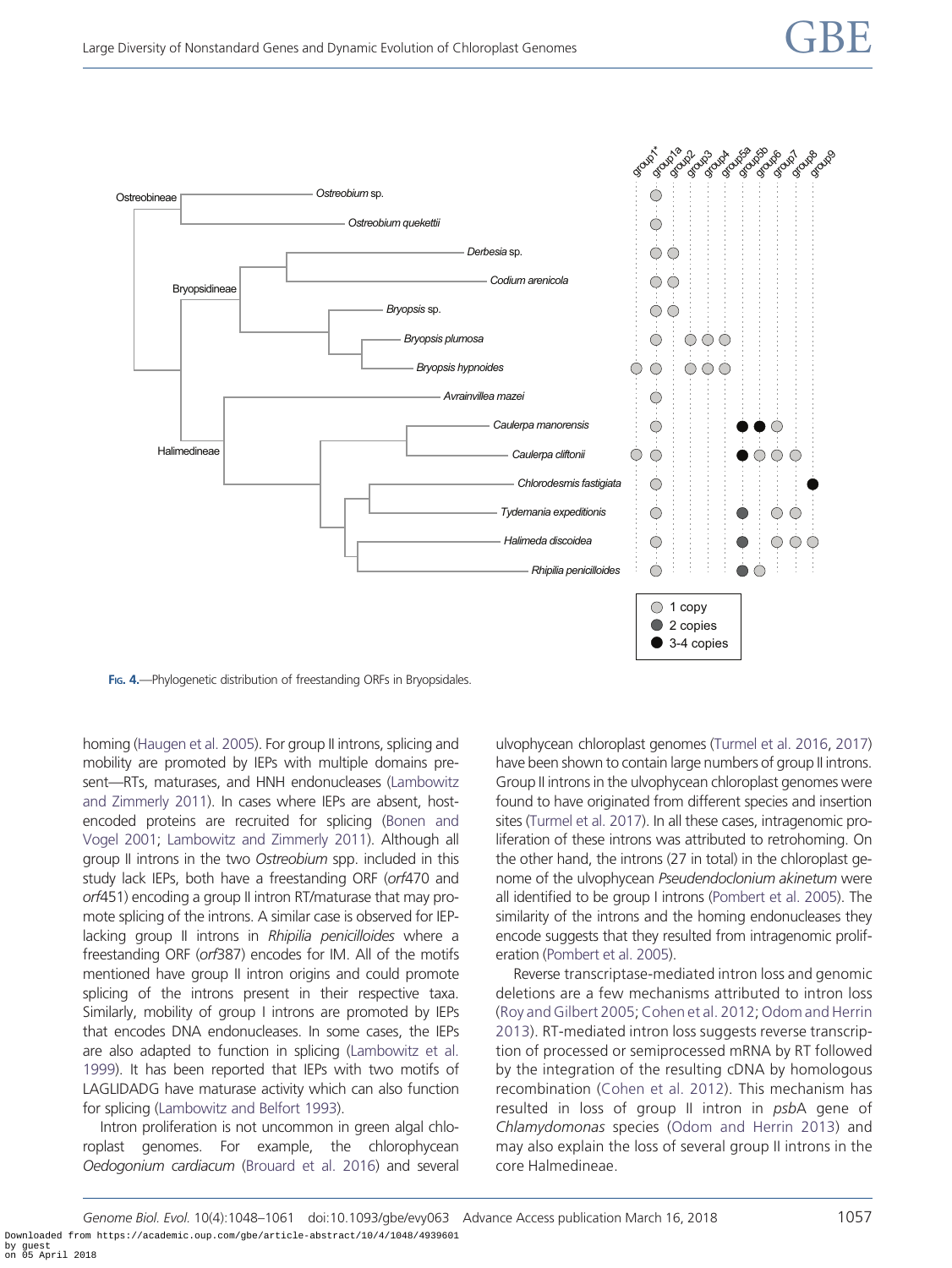<span id="page-9-0"></span>

FIG. 4.—Phylogenetic distribution of freestanding ORFs in Bryopsidales.

homing [\(Haugen et al. 2005](#page-12-0)). For group II introns, splicing and mobility are promoted by IEPs with multiple domains present—RTs, maturases, and HNH endonucleases ([Lambowitz](#page-12-0) [and Zimmerly 2011\)](#page-12-0). In cases where IEPs are absent, hostencoded proteins are recruited for splicing ([Bonen and](#page-11-0) [Vogel 2001](#page-11-0); [Lambowitz and Zimmerly 2011\)](#page-12-0). Although all group II introns in the two Ostreobium spp. included in this study lack IEPs, both have a freestanding ORF (orf470 and orf451) encoding a group II intron RT/maturase that may promote splicing of the introns. A similar case is observed for IEPlacking group II introns in Rhipilia penicilloides where a freestanding ORF (orf387) encodes for IM. All of the motifs mentioned have group II intron origins and could promote splicing of the introns present in their respective taxa. Similarly, mobility of group I introns are promoted by IEPs that encodes DNA endonucleases. In some cases, the IEPs are also adapted to function in splicing [\(Lambowitz et al.](#page-12-0) [1999](#page-12-0)). It has been reported that IEPs with two motifs of LAGLIDADG have maturase activity which can also function for splicing [\(Lambowitz and Belfort 1993\)](#page-12-0).

Intron proliferation is not uncommon in green algal chloroplast genomes. For example, the chlorophycean Oedogonium cardiacum [\(Brouard et al. 2016\)](#page-11-0) and several ulvophycean chloroplast genomes [\(Turmel et al. 2016](#page-13-0), [2017](#page-13-0)) have been shown to contain large numbers of group II introns. Group II introns in the ulvophycean chloroplast genomes were found to have originated from different species and insertion sites [\(Turmel et al. 2017\)](#page-13-0). In all these cases, intragenomic proliferation of these introns was attributed to retrohoming. On the other hand, the introns (27 in total) in the chloroplast genome of the ulvophycean Pseudendoclonium akinetum were all identified to be group I introns [\(Pombert et al. 2005\)](#page-13-0). The similarity of the introns and the homing endonucleases they encode suggests that they resulted from intragenomic proliferation [\(Pombert et al. 2005\)](#page-13-0).

Reverse transcriptase-mediated intron loss and genomic deletions are a few mechanisms attributed to intron loss [\(Roy and Gilbert 2005](#page-13-0);[Cohen et al. 2012](#page-11-0); [Odom and Herrin](#page-12-0) [2013\)](#page-12-0). RT-mediated intron loss suggests reverse transcription of processed or semiprocessed mRNA by RT followed by the integration of the resulting cDNA by homologous recombination [\(Cohen et al. 2012](#page-11-0)). This mechanism has resulted in loss of group II intron in psbA gene of Chlamydomonas species [\(Odom and Herrin 2013\)](#page-12-0) and may also explain the loss of several group II introns in the core Halmedineae.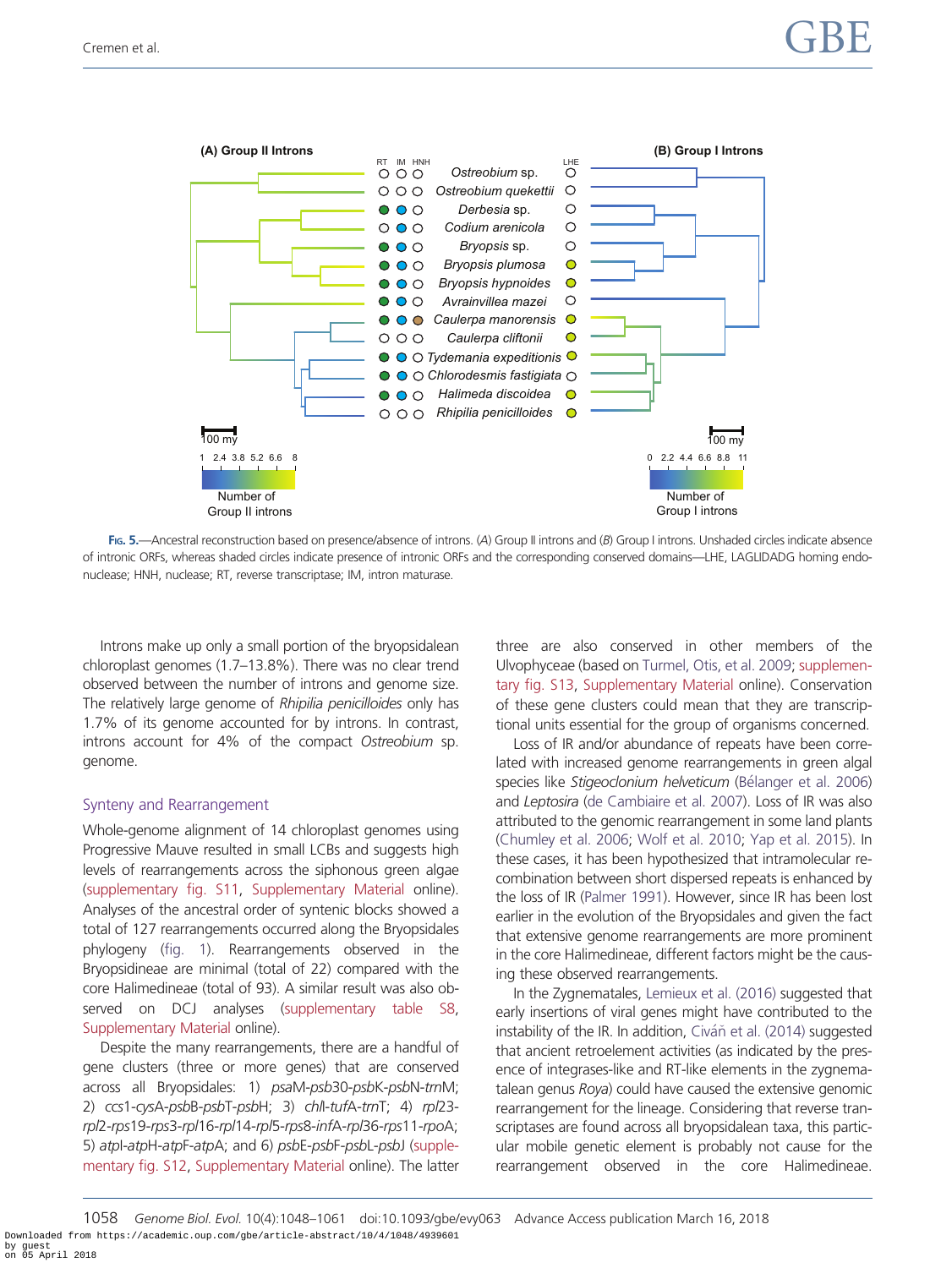<span id="page-10-0"></span>

FIG. 5.—Ancestral reconstruction based on presence/absence of introns. (A) Group II introns and (B) Group I introns. Unshaded circles indicate absence of intronic ORFs, whereas shaded circles indicate presence of intronic ORFs and the corresponding conserved domains—LHE, LAGLIDADG homing endonuclease; HNH, nuclease; RT, reverse transcriptase; IM, intron maturase.

Introns make up only a small portion of the bryopsidalean chloroplast genomes (1.7–13.8%). There was no clear trend observed between the number of introns and genome size. The relatively large genome of Rhipilia penicilloides only has 1.7% of its genome accounted for by introns. In contrast, introns account for 4% of the compact Ostreobium sp. genome.

#### Synteny and Rearrangement

Whole-genome alignment of 14 chloroplast genomes using Progressive Mauve resulted in small LCBs and suggests high levels of rearrangements across the siphonous green algae [\(supplementary fig. S11,](https://academic.oup.com/gbe/article-lookup/doi/10.1093/gbe/evy063#supplementary-data) [Supplementary Material](https://academic.oup.com/gbe/article-lookup/doi/10.1093/gbe/evy063#supplementary-data) online). Analyses of the ancestral order of syntenic blocks showed a total of 127 rearrangements occurred along the Bryopsidales phylogeny [\(fig. 1](#page-4-0)). Rearrangements observed in the Bryopsidineae are minimal (total of 22) compared with the core Halimedineae (total of 93). A similar result was also ob-served on DCJ analyses [\(supplementary table S8,](https://academic.oup.com/gbe/article-lookup/doi/10.1093/gbe/evy063#supplementary-data) [Supplementary Material](https://academic.oup.com/gbe/article-lookup/doi/10.1093/gbe/evy063#supplementary-data) online).

Despite the many rearrangements, there are a handful of gene clusters (three or more genes) that are conserved across all Bryopsidales: 1) psaM-psb30-psbK-psbN-trnM; 2) ccs1-cysA-psbB-psbT-psbH; 3) chlI-tufA-trnT; 4) rpl23 rpl2-rps19-rps3-rpl16-rpl14-rpl5-rps8-infA-rpl36-rps11-rpoA; 5) atpI-atpH-atpF-atpA; and 6) psbE-psbF-psbL-psbJ [\(supple](https://academic.oup.com/gbe/article-lookup/doi/10.1093/gbe/evy063#supplementary-data)[mentary fig. S12,](https://academic.oup.com/gbe/article-lookup/doi/10.1093/gbe/evy063#supplementary-data) [Supplementary Material](https://academic.oup.com/gbe/article-lookup/doi/10.1093/gbe/evy063#supplementary-data) online). The latter three are also conserved in other members of the Ulvophyceae (based on [Turmel, Otis, et al. 2009](#page-12-0); [supplemen](https://academic.oup.com/gbe/article-lookup/doi/10.1093/gbe/evy063#supplementary-data)[tary fig. S13](https://academic.oup.com/gbe/article-lookup/doi/10.1093/gbe/evy063#supplementary-data), [Supplementary Material](https://academic.oup.com/gbe/article-lookup/doi/10.1093/gbe/evy063#supplementary-data) online). Conservation of these gene clusters could mean that they are transcriptional units essential for the group of organisms concerned.

Loss of IR and/or abundance of repeats have been correlated with increased genome rearrangements in green algal species like Stigeoclonium helveticum [\(B](#page-11-0)élanger et al. 2006) and Leptosira ([de Cambiaire et al. 2007\)](#page-11-0). Loss of IR was also attributed to the genomic rearrangement in some land plants [\(Chumley et al. 2006](#page-11-0); [Wolf et al. 2010;](#page-13-0) [Yap et al. 2015\)](#page-13-0). In these cases, it has been hypothesized that intramolecular recombination between short dispersed repeats is enhanced by the loss of IR ([Palmer 1991\)](#page-13-0). However, since IR has been lost earlier in the evolution of the Bryopsidales and given the fact that extensive genome rearrangements are more prominent in the core Halimedineae, different factors might be the causing these observed rearrangements.

In the Zygnematales, [Lemieux et al. \(2016\)](#page-12-0) suggested that early insertions of viral genes might have contributed to the instability of the IR. In addition, [Civ](#page-11-0)áň [et al. \(2014\)](#page-11-0) suggested that ancient retroelement activities (as indicated by the presence of integrases-like and RT-like elements in the zygnematalean genus Roya) could have caused the extensive genomic rearrangement for the lineage. Considering that reverse transcriptases are found across all bryopsidalean taxa, this particular mobile genetic element is probably not cause for the rearrangement observed in the core Halimedineae.

1058 Genome Biol. Evol. 10(4):1048–1061 doi:10.1093/gbe/evy063 Advance Access publication March 16, 2018 Downloaded from https://academic.oup.com/gbe/article-abstract/10/4/1048/4939601 by guest on 05 April 2018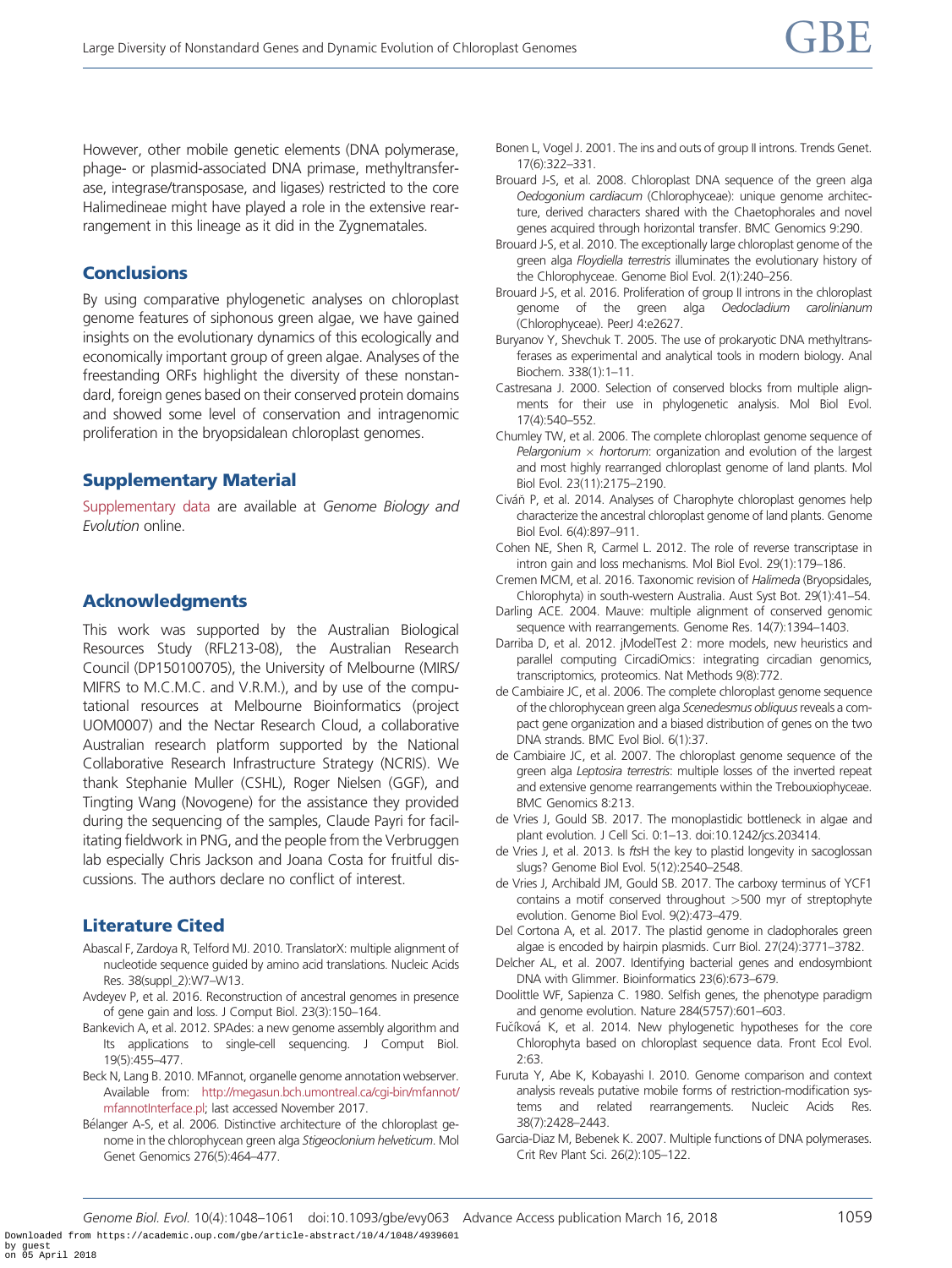<span id="page-11-0"></span>However, other mobile genetic elements (DNA polymerase, phage- or plasmid-associated DNA primase, methyltransferase, integrase/transposase, and ligases) restricted to the core Halimedineae might have played a role in the extensive rearrangement in this lineage as it did in the Zygnematales.

## **Conclusions**

By using comparative phylogenetic analyses on chloroplast genome features of siphonous green algae, we have gained insights on the evolutionary dynamics of this ecologically and economically important group of green algae. Analyses of the freestanding ORFs highlight the diversity of these nonstandard, foreign genes based on their conserved protein domains and showed some level of conservation and intragenomic proliferation in the bryopsidalean chloroplast genomes.

# Supplementary Material

[Supplementary data](https://academic.oup.com/gbe/article-lookup/doi/10.1093/gbe/evy063#supplementary-data) are available at Genome Biology and Evolution online.

# Acknowledgments

This work was supported by the Australian Biological Resources Study (RFL213-08), the Australian Research Council (DP150100705), the University of Melbourne (MIRS/ MIFRS to M.C.M.C. and V.R.M.), and by use of the computational resources at Melbourne Bioinformatics (project UOM0007) and the Nectar Research Cloud, a collaborative Australian research platform supported by the National Collaborative Research Infrastructure Strategy (NCRIS). We thank Stephanie Muller (CSHL), Roger Nielsen (GGF), and Tingting Wang (Novogene) for the assistance they provided during the sequencing of the samples, Claude Payri for facilitating fieldwork in PNG, and the people from the Verbruggen lab especially Chris Jackson and Joana Costa for fruitful discussions. The authors declare no conflict of interest.

# Literature Cited

- Abascal F, Zardoya R, Telford MJ. 2010. TranslatorX: multiple alignment of nucleotide sequence guided by amino acid translations. Nucleic Acids Res. 38(suppl\_2):W7–W13.
- Avdeyev P, et al. 2016. Reconstruction of ancestral genomes in presence of gene gain and loss. J Comput Biol. 23(3):150–164.
- Bankevich A, et al. 2012. SPAdes: a new genome assembly algorithm and Its applications to single-cell sequencing. J Comput Biol. 19(5):455–477.
- Beck N, Lang B. 2010. MFannot, organelle genome annotation webserver. Available from: [http://megasun.bch.umontreal.ca/cgi-bin/mfannot/](http://megasun.bch.umontreal.ca/cgi-bin/mfannot/mfannotInterface.pl) [mfannotInterface.pl](http://megasun.bch.umontreal.ca/cgi-bin/mfannot/mfannotInterface.pl); last accessed November 2017.
- Bélanger A-S, et al. 2006. Distinctive architecture of the chloroplast genome in the chlorophycean green alga Stigeoclonium helveticum. Mol Genet Genomics 276(5):464–477.
- Bonen L, Vogel J. 2001. The ins and outs of group II introns. Trends Genet. 17(6):322–331.
- Brouard J-S, et al. 2008. Chloroplast DNA sequence of the green alga Oedogonium cardiacum (Chlorophyceae): unique genome architecture, derived characters shared with the Chaetophorales and novel genes acquired through horizontal transfer. BMC Genomics 9:290.
- Brouard J-S, et al. 2010. The exceptionally large chloroplast genome of the green alga Floydiella terrestris illuminates the evolutionary history of the Chlorophyceae. Genome Biol Evol. 2(1):240–256.
- Brouard J-S, et al. 2016. Proliferation of group II introns in the chloroplast genome of the green alga Oedocladium carolinianum (Chlorophyceae). PeerJ 4:e2627.
- Buryanov Y, Shevchuk T. 2005. The use of prokaryotic DNA methyltransferases as experimental and analytical tools in modern biology. Anal Biochem. 338(1):1–11.
- Castresana J. 2000. Selection of conserved blocks from multiple alignments for their use in phylogenetic analysis. Mol Biol Evol. 17(4):540–552.
- Chumley TW, et al. 2006. The complete chloroplast genome sequence of Pelargonium  $\times$  hortorum: organization and evolution of the largest and most highly rearranged chloroplast genome of land plants. Mol Biol Evol. 23(11):2175–2190.
- Civáň P, et al. 2014. Analyses of Charophyte chloroplast genomes help characterize the ancestral chloroplast genome of land plants. Genome Biol Evol. 6(4):897–911.
- Cohen NE, Shen R, Carmel L. 2012. The role of reverse transcriptase in intron gain and loss mechanisms. Mol Biol Evol. 29(1):179–186.
- Cremen MCM, et al. 2016. Taxonomic revision of Halimeda (Bryopsidales, Chlorophyta) in south-western Australia. Aust Syst Bot. 29(1):41–54.
- Darling ACE. 2004. Mauve: multiple alignment of conserved genomic sequence with rearrangements. Genome Res. 14(7):1394–1403.
- Darriba D, et al. 2012. jModelTest 2: more models, new heuristics and parallel computing CircadiOmics: integrating circadian genomics, transcriptomics, proteomics. Nat Methods 9(8):772.
- de Cambiaire JC, et al. 2006. The complete chloroplast genome sequence of the chlorophycean green alga Scenedesmus obliquus reveals a compact gene organization and a biased distribution of genes on the two DNA strands. BMC Evol Biol. 6(1):37.
- de Cambiaire JC, et al. 2007. The chloroplast genome sequence of the green alga Leptosira terrestris: multiple losses of the inverted repeat and extensive genome rearrangements within the Trebouxiophyceae. BMC Genomics 8:213.
- de Vries J, Gould SB. 2017. The monoplastidic bottleneck in algae and plant evolution. J Cell Sci. 0:1–13. doi:10.1242/jcs.203414.
- de Vries J, et al. 2013. Is ftsH the key to plastid longevity in sacoglossan slugs? Genome Biol Evol. 5(12):2540–2548.
- de Vries J, Archibald JM, Gould SB. 2017. The carboxy terminus of YCF1 contains a motif conserved throughout >500 myr of streptophyte evolution. Genome Biol Evol. 9(2):473–479.
- Del Cortona A, et al. 2017. The plastid genome in cladophorales green algae is encoded by hairpin plasmids. Curr Biol. 27(24):3771–3782.
- Delcher AL, et al. 2007. Identifying bacterial genes and endosymbiont DNA with Glimmer. Bioinformatics 23(6):673–679.
- Doolittle WF, Sapienza C. 1980. Selfish genes, the phenotype paradigm and genome evolution. Nature 284(5757):601–603.
- Fučíková K, et al. 2014. New phylogenetic hypotheses for the core Chlorophyta based on chloroplast sequence data. Front Ecol Evol. 2:63.
- Furuta Y, Abe K, Kobayashi I. 2010. Genome comparison and context analysis reveals putative mobile forms of restriction-modification systems and related rearrangements. Nucleic Acids Res. 38(7):2428–2443.
- Garcia-Diaz M, Bebenek K. 2007. Multiple functions of DNA polymerases. Crit Rev Plant Sci. 26(2):105–122.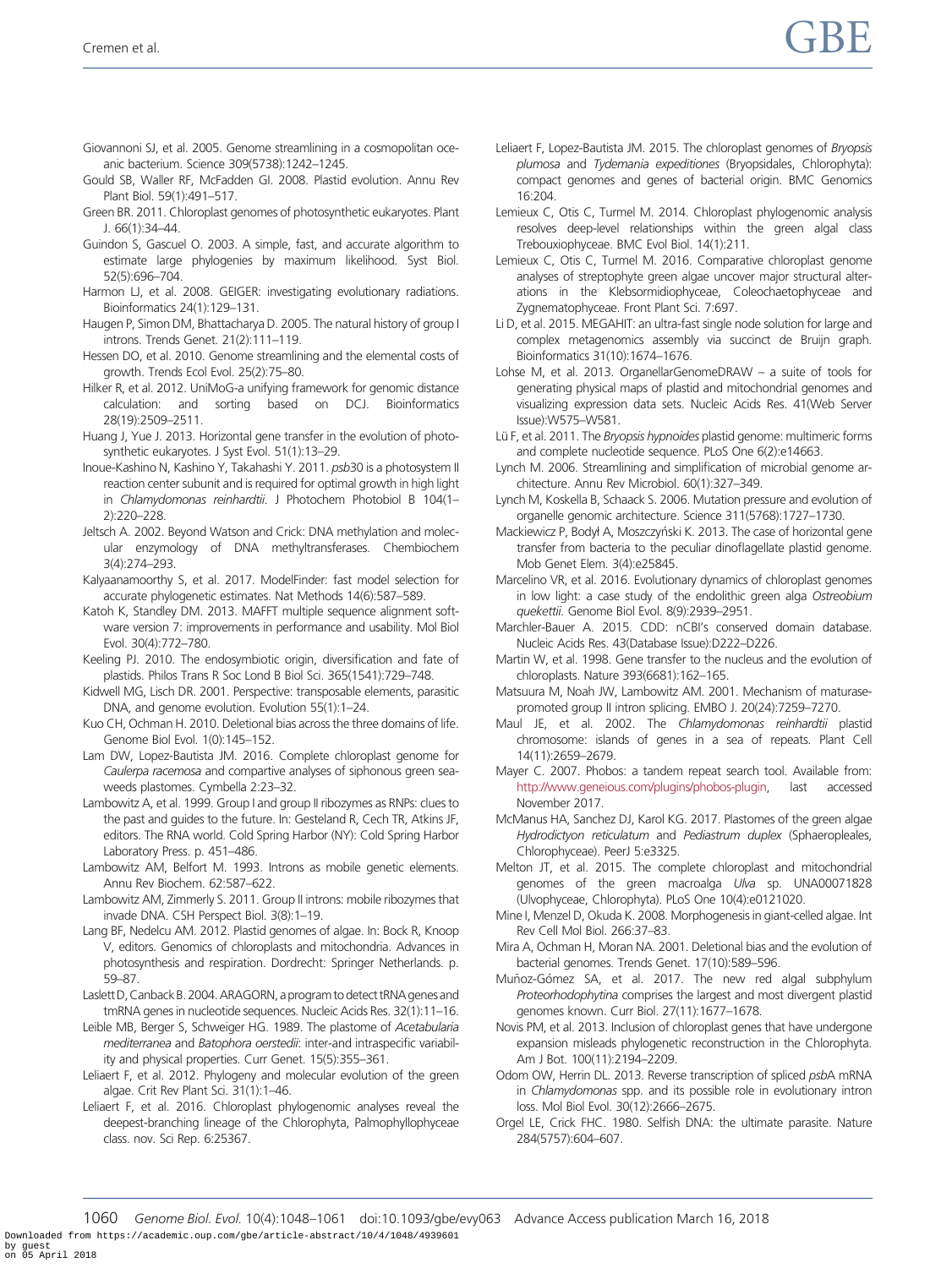- <span id="page-12-0"></span>Giovannoni SJ, et al. 2005. Genome streamlining in a cosmopolitan oceanic bacterium. Science 309(5738):1242–1245.
- Gould SB, Waller RF, McFadden GI. 2008. Plastid evolution. Annu Rev Plant Biol. 59(1):491–517.
- Green BR. 2011. Chloroplast genomes of photosynthetic eukaryotes. Plant J. 66(1):34–44.
- Guindon S, Gascuel O. 2003. A simple, fast, and accurate algorithm to estimate large phylogenies by maximum likelihood. Syst Biol. 52(5):696–704.
- Harmon LJ, et al. 2008. GEIGER: investigating evolutionary radiations. Bioinformatics 24(1):129–131.
- Haugen P, Simon DM, Bhattacharya D. 2005. The natural history of group I introns. Trends Genet. 21(2):111–119.
- Hessen DO, et al. 2010. Genome streamlining and the elemental costs of growth. Trends Ecol Evol. 25(2):75–80.
- Hilker R, et al. 2012. UniMoG-a unifying framework for genomic distance calculation: and sorting based on DCJ. Bioinformatics 28(19):2509–2511.
- Huang J, Yue J. 2013. Horizontal gene transfer in the evolution of photosynthetic eukaryotes. J Syst Evol. 51(1):13–29.
- Inoue-Kashino N, Kashino Y, Takahashi Y. 2011. psb30 is a photosystem II reaction center subunit and is required for optimal growth in high light in Chlamydomonas reinhardtii. J Photochem Photobiol B 104(1– 2):220–228.
- Jeltsch A. 2002. Beyond Watson and Crick: DNA methylation and molecular enzymology of DNA methyltransferases. Chembiochem 3(4):274–293.
- Kalyaanamoorthy S, et al. 2017. ModelFinder: fast model selection for accurate phylogenetic estimates. Nat Methods 14(6):587–589.
- Katoh K, Standley DM. 2013. MAFFT multiple sequence alignment software version 7: improvements in performance and usability. Mol Biol Evol. 30(4):772–780.
- Keeling PJ. 2010. The endosymbiotic origin, diversification and fate of plastids. Philos Trans R Soc Lond B Biol Sci. 365(1541):729–748.
- Kidwell MG, Lisch DR. 2001. Perspective: transposable elements, parasitic DNA, and genome evolution. Evolution 55(1):1–24.
- Kuo CH, Ochman H. 2010. Deletional bias across the three domains of life. Genome Biol Evol. 1(0):145–152.
- Lam DW, Lopez-Bautista JM. 2016. Complete chloroplast genome for Caulerpa racemosa and compartive analyses of siphonous green seaweeds plastomes. Cymbella 2:23–32.
- Lambowitz A, et al. 1999. Group I and group II ribozymes as RNPs: clues to the past and guides to the future. In: Gesteland R, Cech TR, Atkins JF, editors. The RNA world. Cold Spring Harbor (NY): Cold Spring Harbor Laboratory Press. p. 451–486.
- Lambowitz AM, Belfort M. 1993. Introns as mobile genetic elements. Annu Rev Biochem. 62:587–622.
- Lambowitz AM, Zimmerly S. 2011. Group II introns: mobile ribozymes that invade DNA. CSH Perspect Biol. 3(8):1–19.
- Lang BF, Nedelcu AM. 2012. Plastid genomes of algae. In: Bock R, Knoop V, editors. Genomics of chloroplasts and mitochondria. Advances in photosynthesis and respiration. Dordrecht: Springer Netherlands. p. 59–87.
- Laslett D, Canback B. 2004. ARAGORN, a program to detect tRNA genes and tmRNA genes in nucleotide sequences. Nucleic Acids Res. 32(1):11–16.
- Leible MB, Berger S, Schweiger HG. 1989. The plastome of Acetabularia mediterranea and Batophora oerstedii: inter-and intraspecific variability and physical properties. Curr Genet. 15(5):355–361.
- Leliaert F, et al. 2012. Phylogeny and molecular evolution of the green algae. Crit Rev Plant Sci. 31(1):1–46.
- Leliaert F, et al. 2016. Chloroplast phylogenomic analyses reveal the deepest-branching lineage of the Chlorophyta, Palmophyllophyceae class. nov. Sci Rep. 6:25367.
- Leliaert F, Lopez-Bautista JM. 2015. The chloroplast genomes of Bryopsis plumosa and Tydemania expeditiones (Bryopsidales, Chlorophyta): compact genomes and genes of bacterial origin. BMC Genomics 16:204.
- Lemieux C, Otis C, Turmel M. 2014. Chloroplast phylogenomic analysis resolves deep-level relationships within the green algal class Trebouxiophyceae. BMC Evol Biol. 14(1):211.
- Lemieux C, Otis C, Turmel M. 2016. Comparative chloroplast genome analyses of streptophyte green algae uncover major structural alterations in the Klebsormidiophyceae, Coleochaetophyceae and Zygnematophyceae. Front Plant Sci. 7:697.
- Li D, et al. 2015. MEGAHIT: an ultra-fast single node solution for large and complex metagenomics assembly via succinct de Bruijn graph. Bioinformatics 31(10):1674–1676.
- Lohse M, et al. 2013. OrganellarGenomeDRAW a suite of tools for generating physical maps of plastid and mitochondrial genomes and visualizing expression data sets. Nucleic Acids Res. 41(Web Server Issue):W575–W581.
- Lü F, et al. 2011. The *Bryopsis hypnoides* plastid genome: multimeric forms and complete nucleotide sequence. PLoS One 6(2):e14663.
- Lynch M. 2006. Streamlining and simplification of microbial genome architecture. Annu Rev Microbiol. 60(1):327–349.
- Lynch M, Koskella B, Schaack S. 2006. Mutation pressure and evolution of organelle genomic architecture. Science 311(5768):1727–1730.
- Mackiewicz P, Bodył A, Moszczyński K. 2013. The case of horizontal gene transfer from bacteria to the peculiar dinoflagellate plastid genome. Mob Genet Elem. 3(4):e25845.
- Marcelino VR, et al. 2016. Evolutionary dynamics of chloroplast genomes in low light: a case study of the endolithic green alga Ostreobium quekettii. Genome Biol Evol. 8(9):2939–2951.
- Marchler-Bauer A. 2015. CDD: nCBI's conserved domain database. Nucleic Acids Res. 43(Database Issue):D222–D226.
- Martin W, et al. 1998. Gene transfer to the nucleus and the evolution of chloroplasts. Nature 393(6681):162–165.
- Matsuura M, Noah JW, Lambowitz AM. 2001. Mechanism of maturasepromoted group II intron splicing. EMBO J. 20(24):7259–7270.
- Maul JE, et al. 2002. The Chlamydomonas reinhardtii plastid chromosome: islands of genes in a sea of repeats. Plant Cell 14(11):2659–2679.
- Mayer C. 2007. Phobos: a tandem repeat search tool. Available from: [http://www.geneious.com/plugins/phobos-plugin,](http://www.geneious.com/plugins/phobos-plugin) last accessed November 2017.
- McManus HA, Sanchez DJ, Karol KG. 2017. Plastomes of the green algae Hydrodictyon reticulatum and Pediastrum duplex (Sphaeropleales, Chlorophyceae). PeerJ 5:e3325.
- Melton JT, et al. 2015. The complete chloroplast and mitochondrial genomes of the green macroalga Ulva sp. UNA00071828 (Ulvophyceae, Chlorophyta). PLoS One 10(4):e0121020.
- Mine I, Menzel D, Okuda K. 2008. Morphogenesis in giant-celled algae. Int Rev Cell Mol Biol. 266:37–83.
- Mira A, Ochman H, Moran NA. 2001. Deletional bias and the evolution of bacterial genomes. Trends Genet. 17(10):589–596.
- Muñoz-Gómez SA, et al. 2017. The new red algal subphylum Proteorhodophytina comprises the largest and most divergent plastid genomes known. Curr Biol. 27(11):1677–1678.
- Novis PM, et al. 2013. Inclusion of chloroplast genes that have undergone expansion misleads phylogenetic reconstruction in the Chlorophyta. Am J Bot. 100(11):2194–2209.
- Odom OW, Herrin DL. 2013. Reverse transcription of spliced psbA mRNA in Chlamydomonas spp. and its possible role in evolutionary intron loss. Mol Biol Evol. 30(12):2666–2675.
- Orgel LE, Crick FHC. 1980. Selfish DNA: the ultimate parasite. Nature 284(5757):604–607.